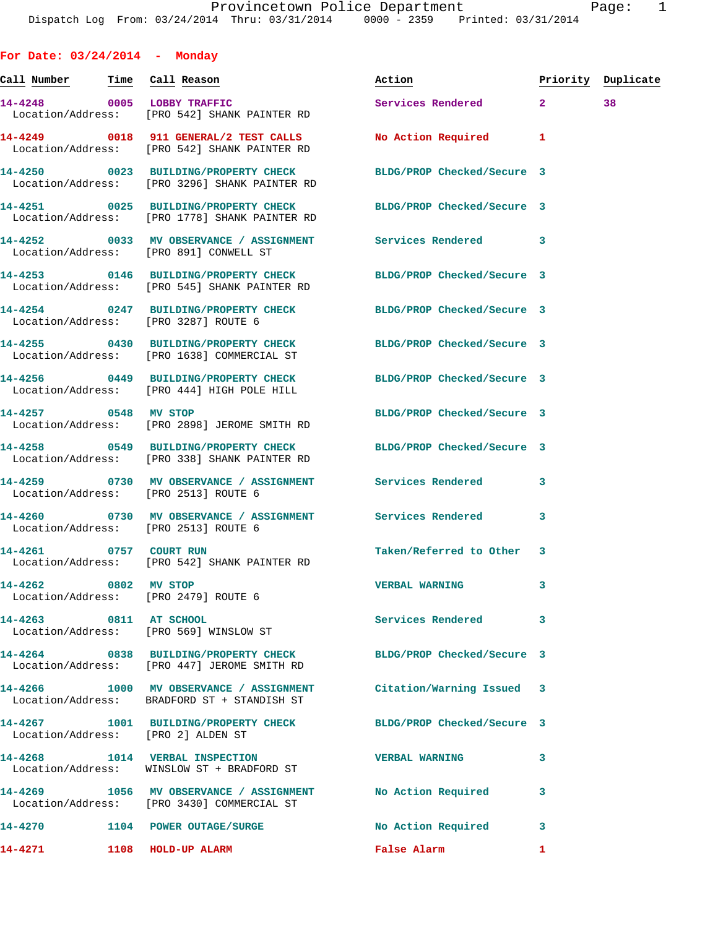**For Date: 03/24/2014 - Monday Call Number Time Call Reason Action Priority Duplicate 14-4248 0005 LOBBY TRAFFIC Services Rendered 2 38**  Location/Address: [PRO 542] SHANK PAINTER RD **14-4249 0018 911 GENERAL/2 TEST CALLS No Action Required 1**  Location/Address: [PRO 542] SHANK PAINTER RD **14-4250 0023 BUILDING/PROPERTY CHECK BLDG/PROP Checked/Secure 3**  Location/Address: [PRO 3296] SHANK PAINTER RD **14-4251 0025 BUILDING/PROPERTY CHECK BLDG/PROP Checked/Secure 3**  Location/Address: [PRO 1778] SHANK PAINTER RD **14-4252 0033 MV OBSERVANCE / ASSIGNMENT Services Rendered 3**  Location/Address: [PRO 891] CONWELL ST **14-4253 0146 BUILDING/PROPERTY CHECK BLDG/PROP Checked/Secure 3**  Location/Address: [PRO 545] SHANK PAINTER RD **14-4254 0247 BUILDING/PROPERTY CHECK BLDG/PROP Checked/Secure 3**  Location/Address: [PRO 3287] ROUTE 6 **14-4255 0430 BUILDING/PROPERTY CHECK BLDG/PROP Checked/Secure 3**  Location/Address: [PRO 1638] COMMERCIAL ST **14-4256 0449 BUILDING/PROPERTY CHECK BLDG/PROP Checked/Secure 3**  Location/Address: [PRO 444] HIGH POLE HILL **14-4257 0548 MV STOP BLDG/PROP Checked/Secure 3**  Location/Address: [PRO 2898] JEROME SMITH RD **14-4258 0549 BUILDING/PROPERTY CHECK BLDG/PROP Checked/Secure 3**  Location/Address: [PRO 338] SHANK PAINTER RD **14-4259 0730 MV OBSERVANCE / ASSIGNMENT Services Rendered 3**  Location/Address: [PRO 2513] ROUTE 6 **14-4260 0730 MV OBSERVANCE / ASSIGNMENT Services Rendered 3**  Location/Address: [PRO 2513] ROUTE 6 14-4261 0757 COURT RUN **Taken/Referred to Other** 3 Location/Address: [PRO 542] SHANK PAINTER RD **14-4262 0802 MV STOP VERBAL WARNING 3**  Location/Address: [PRO 2479] ROUTE 6 **14-4263 0811 AT SCHOOL Services Rendered 3**  Location/Address: [PRO 569] WINSLOW ST **14-4264 0838 BUILDING/PROPERTY CHECK BLDG/PROP Checked/Secure 3**  Location/Address: [PRO 447] JEROME SMITH RD **14-4266 1000 MV OBSERVANCE / ASSIGNMENT Citation/Warning Issued 3**  Location/Address: BRADFORD ST + STANDISH ST **14-4267 1001 BUILDING/PROPERTY CHECK BLDG/PROP Checked/Secure 3**  Location/Address: [PRO 2] ALDEN ST **14-4268 1014 VERBAL INSPECTION VERBAL WARNING 3**  Location/Address: WINSLOW ST + BRADFORD ST **14-4269 1056 MV OBSERVANCE / ASSIGNMENT No Action Required 3**  Location/Address: [PRO 3430] COMMERCIAL ST **14-4270 1104 POWER OUTAGE/SURGE No Action Required 3** 

**14-4271 1108 HOLD-UP ALARM False Alarm 1**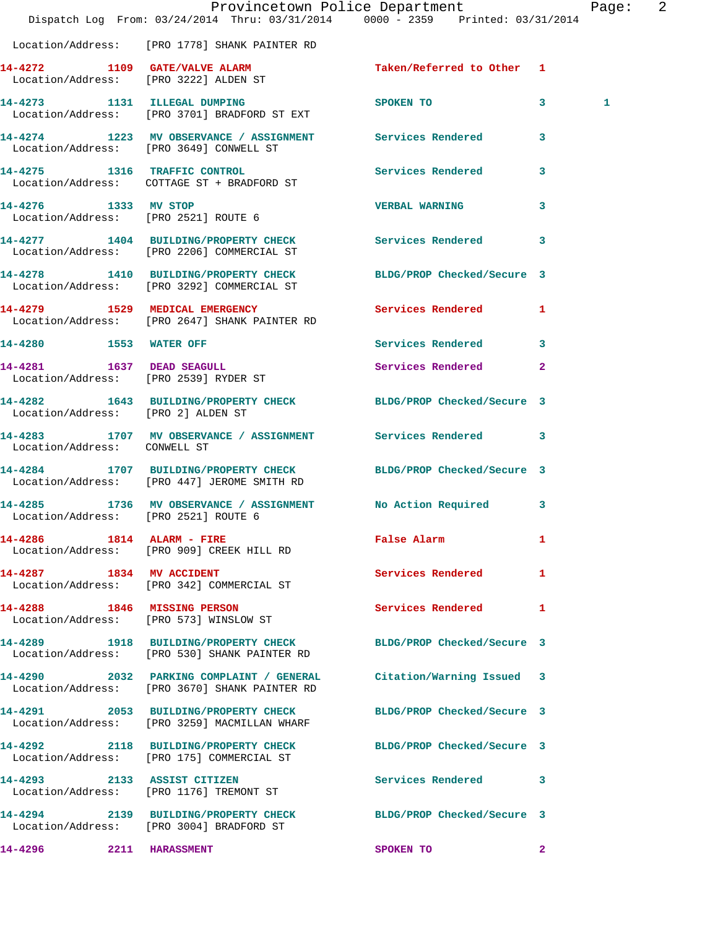|                         |                                                                                      |                                      | Provincetown Police Department<br>Dispatch Log From: 03/24/2014 Thru: 03/31/2014 0000 - 2359 Printed: 03/31/2014 |                | Page: 2 |  |
|-------------------------|--------------------------------------------------------------------------------------|--------------------------------------|------------------------------------------------------------------------------------------------------------------|----------------|---------|--|
|                         | Location/Address: [PRO 1778] SHANK PAINTER RD                                        |                                      |                                                                                                                  |                |         |  |
|                         | 14-4272 1109 GATE/VALVE ALARM<br>Location/Address: [PRO 3222] ALDEN ST               |                                      | Taken/Referred to Other 1                                                                                        |                |         |  |
|                         | 14-4273 1131 ILLEGAL DUMPING<br>Location/Address: [PRO 3701] BRADFORD ST EXT         |                                      | SPOKEN TO                                                                                                        | $\mathbf{3}$   | 1       |  |
|                         | Location/Address: [PRO 3649] CONWELL ST                                              |                                      | 14-4274 1223 MV OBSERVANCE / ASSIGNMENT Services Rendered 3                                                      |                |         |  |
|                         | 14-4275 1316 TRAFFIC CONTROL<br>Location/Address: COTTAGE ST + BRADFORD ST           |                                      | Services Rendered                                                                                                | $\mathbf{3}$   |         |  |
| 14-4276 1333 MV STOP    | Location/Address: [PRO 2521] ROUTE 6                                                 |                                      | <b>VERBAL WARNING</b>                                                                                            | $\mathbf{3}$   |         |  |
|                         | Location/Address: [PRO 2206] COMMERCIAL ST                                           |                                      | 14-4277 1404 BUILDING/PROPERTY CHECK Services Rendered                                                           | $\mathbf{3}$   |         |  |
|                         |                                                                                      |                                      | 14-4278 1410 BUILDING/PROPERTY CHECK BLDG/PROP Checked/Secure 3<br>Location/Address: [PRO 3292] COMMERCIAL ST    |                |         |  |
|                         | 14-4279 1529 MEDICAL EMERGENCY<br>Location/Address: [PRO 2647] SHANK PAINTER RD      |                                      | Services Rendered 1                                                                                              |                |         |  |
| 14-4280 1553 WATER OFF  |                                                                                      |                                      | Services Rendered                                                                                                | $\mathbf{3}$   |         |  |
|                         | 14-4281 1637 DEAD SEAGULL<br>Location/Address: [PRO 2539] RYDER ST                   |                                      | Services Rendered                                                                                                | $\overline{2}$ |         |  |
|                         | Location/Address: [PRO 2] ALDEN ST                                                   |                                      | 14-4282 1643 BUILDING/PROPERTY CHECK BLDG/PROP Checked/Secure 3                                                  |                |         |  |
|                         |                                                                                      |                                      | 14-4283 1707 MV OBSERVANCE / ASSIGNMENT Services Rendered 3<br>Location/Address: CONWELL ST                      |                |         |  |
|                         | Location/Address: [PRO 447] JEROME SMITH RD                                          |                                      | 14-4284 1707 BUILDING/PROPERTY CHECK BLDG/PROP Checked/Secure 3                                                  |                |         |  |
|                         | Location/Address: [PRO 2521] ROUTE 6                                                 |                                      | 14-4285 1736 MV OBSERVANCE / ASSIGNMENT No Action Required 3                                                     |                |         |  |
|                         | 14-4286 1814 ALARM - FIRE<br>Location/Address: [PRO 909] CREEK HILL RD               |                                      | False Alarm <b>Francisco Executive</b>                                                                           | $\mathbf{1}$   |         |  |
|                         | 14-4287 1834 MV ACCIDENT<br>Location/Address: [PRO 342] COMMERCIAL ST                |                                      | Services Rendered 1                                                                                              |                |         |  |
|                         | 14-4288 1846 MISSING PERSON<br>Location/Address: [PRO 573] WINSLOW ST                |                                      | Services Rendered 1                                                                                              |                |         |  |
|                         | Location/Address: [PRO 530] SHANK PAINTER RD                                         | 14-4289 1918 BUILDING/PROPERTY CHECK | BLDG/PROP Checked/Secure 3                                                                                       |                |         |  |
|                         | Location/Address: [PRO 3670] SHANK PAINTER RD                                        |                                      | 14-4290 2032 PARKING COMPLAINT / GENERAL Citation/Warning Issued 3                                               |                |         |  |
|                         | 14-4291 2053 BUILDING/PROPERTY CHECK<br>Location/Address: [PRO 3259] MACMILLAN WHARF |                                      | BLDG/PROP Checked/Secure 3                                                                                       |                |         |  |
|                         | Location/Address: [PRO 175] COMMERCIAL ST                                            |                                      | 14-4292 2118 BUILDING/PROPERTY CHECK BLDG/PROP Checked/Secure 3                                                  |                |         |  |
|                         | 14-4293 2133 ASSIST CITIZEN<br>Location/Address: [PRO 1176] TREMONT ST               |                                      | Services Rendered 3                                                                                              |                |         |  |
|                         | Location/Address: [PRO 3004] BRADFORD ST                                             |                                      | 14-4294 2139 BUILDING/PROPERTY CHECK BLDG/PROP Checked/Secure 3                                                  |                |         |  |
| 14-4296 2211 HARASSMENT |                                                                                      |                                      | SPOKEN TO                                                                                                        | $\mathbf{2}$   |         |  |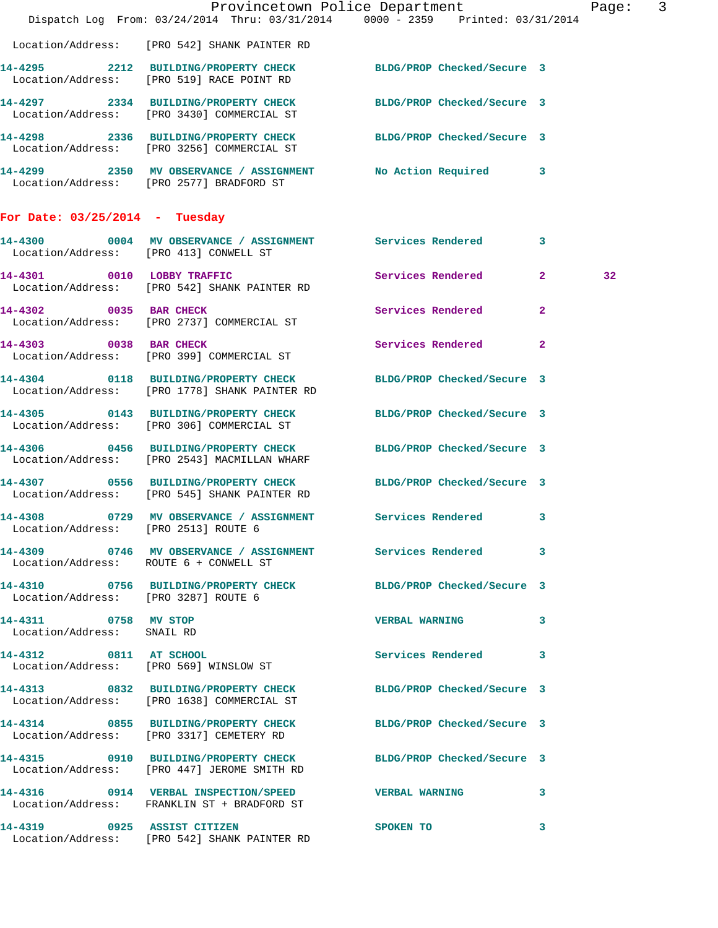|                                                    | Dispatch Log From: 03/24/2014 Thru: 03/31/2014 0000 - 2359 Printed: 03/31/2014                                   | Provincetown Police Department |                | Page: 3 |  |
|----------------------------------------------------|------------------------------------------------------------------------------------------------------------------|--------------------------------|----------------|---------|--|
|                                                    | Location/Address: [PRO 542] SHANK PAINTER RD                                                                     |                                |                |         |  |
|                                                    | 14-4295 2212 BUILDING/PROPERTY CHECK BLDG/PROP Checked/Secure 3<br>Location/Address: [PRO 519] RACE POINT RD     |                                |                |         |  |
|                                                    | 14-4297 2334 BUILDING/PROPERTY CHECK BLDG/PROP Checked/Secure 3<br>Location/Address: [PRO 3430] COMMERCIAL ST    |                                |                |         |  |
|                                                    | 14-4298 2336 BUILDING/PROPERTY CHECK BLDG/PROP Checked/Secure 3<br>Location/Address: [PRO 3256] COMMERCIAL ST    |                                |                |         |  |
|                                                    | 14-4299 2350 MV OBSERVANCE / ASSIGNMENT No Action Required 3<br>Location/Address: [PRO 2577] BRADFORD ST         |                                |                |         |  |
| For Date: $03/25/2014$ - Tuesday                   |                                                                                                                  |                                |                |         |  |
| Location/Address: [PRO 413] CONWELL ST             | 14-4300 0004 MV OBSERVANCE / ASSIGNMENT Services Rendered                                                        |                                | 3              |         |  |
|                                                    | 14-4301 0010 LOBBY TRAFFIC<br>Location/Address: [PRO 542] SHANK PAINTER RD                                       | Services Rendered              | $\mathbf{2}$   | 32      |  |
|                                                    | 14-4302 0035 BAR CHECK<br>Location/Address: [PRO 2737] COMMERCIAL ST                                             | Services Rendered              | $\overline{a}$ |         |  |
| 14-4303 0038 BAR CHECK                             | Location/Address: [PRO 399] COMMERCIAL ST                                                                        | Services Rendered              | $\mathbf{2}$   |         |  |
|                                                    | 14-4304 0118 BUILDING/PROPERTY CHECK BLDG/PROP Checked/Secure 3<br>Location/Address: [PRO 1778] SHANK PAINTER RD |                                |                |         |  |
|                                                    | 14-4305 0143 BUILDING/PROPERTY CHECK<br>Location/Address: [PRO 306] COMMERCIAL ST                                | BLDG/PROP Checked/Secure 3     |                |         |  |
|                                                    | 14-4306 0456 BUILDING/PROPERTY CHECK BLDG/PROP Checked/Secure 3<br>Location/Address: [PRO 2543] MACMILLAN WHARF  |                                |                |         |  |
|                                                    | 14-4307 0556 BUILDING/PROPERTY CHECK BLDG/PROP Checked/Secure 3<br>Location/Address: [PRO 545] SHANK PAINTER RD  |                                |                |         |  |
| 14-4308<br>Location/Address: [PRO 2513] ROUTE 6    | 0729 MV OBSERVANCE / ASSIGNMENT Services Rendered 3                                                              |                                |                |         |  |
| Location/Address: ROUTE 6 + CONWELL ST             | 14-4309 0746 MV OBSERVANCE / ASSIGNMENT Services Rendered                                                        |                                | 3              |         |  |
| Location/Address: [PRO 3287] ROUTE 6               | 14-4310 0756 BUILDING/PROPERTY CHECK BLDG/PROP Checked/Secure 3                                                  |                                |                |         |  |
| 14-4311 0758 MV STOP<br>Location/Address: SNAIL RD |                                                                                                                  | <b>VERBAL WARNING</b>          | 3              |         |  |
| 14-4312 0811 AT SCHOOL                             | Location/Address: [PRO 569] WINSLOW ST                                                                           | Services Rendered              | 3              |         |  |
|                                                    | 14-4313 0832 BUILDING/PROPERTY CHECK BLDG/PROP Checked/Secure 3<br>Location/Address: [PRO 1638] COMMERCIAL ST    |                                |                |         |  |
|                                                    | 14-4314 0855 BUILDING/PROPERTY CHECK<br>Location/Address: [PRO 3317] CEMETERY RD                                 | BLDG/PROP Checked/Secure 3     |                |         |  |
|                                                    | 14-4315 0910 BUILDING/PROPERTY CHECK BLDG/PROP Checked/Secure 3<br>Location/Address: [PRO 447] JEROME SMITH RD   |                                |                |         |  |
|                                                    | 14-4316 0914 VERBAL INSPECTION/SPEED VERBAL WARNING 3<br>Location/Address: FRANKLIN ST + BRADFORD ST             |                                |                |         |  |
|                                                    | 14-4319 0925 ASSIST CITIZEN<br>Location/Address: [PRO 542] SHANK PAINTER RD                                      | SPOKEN TO                      | 3              |         |  |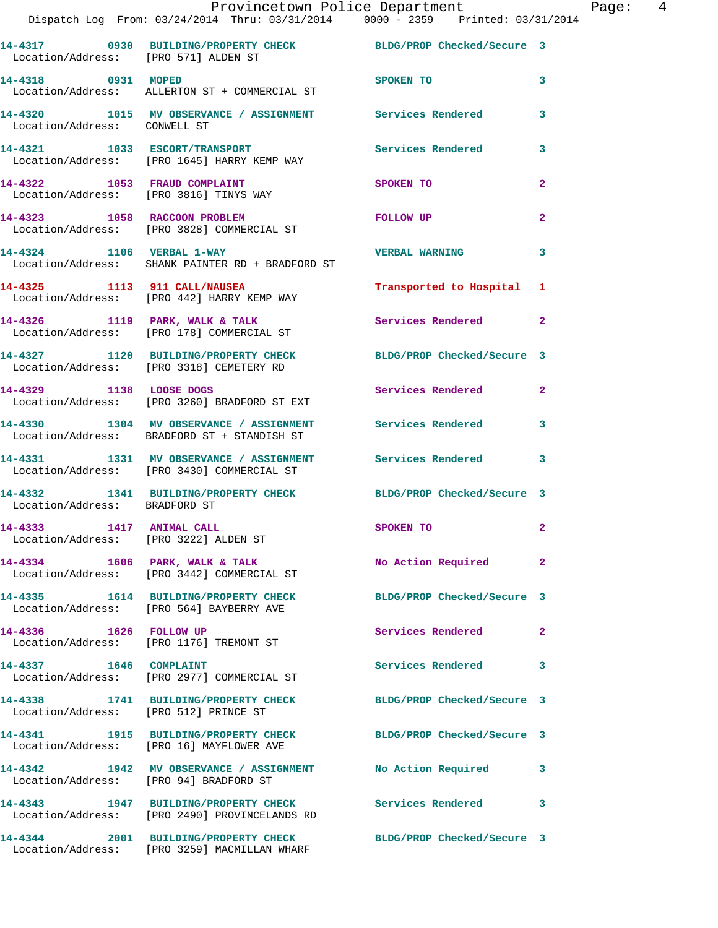| Location/Address: [PRO 571] ALDEN ST                              | 14-4317 0930 BUILDING/PROPERTY CHECK                                                                     | BLDG/PROP Checked/Secure 3 |                |
|-------------------------------------------------------------------|----------------------------------------------------------------------------------------------------------|----------------------------|----------------|
| 14-4318 0931 MOPED                                                | Location/Address: ALLERTON ST + COMMERCIAL ST                                                            | SPOKEN TO                  | 3              |
| Location/Address: CONWELL ST                                      | 14-4320 1015 MV OBSERVANCE / ASSIGNMENT Services Rendered                                                |                            | 3              |
|                                                                   | 14-4321 1033 ESCORT/TRANSPORT<br>Location/Address: [PRO 1645] HARRY KEMP WAY                             | Services Rendered          | 3              |
| 14-4322 1053 FRAUD COMPLAINT                                      | Location/Address: [PRO 3816] TINYS WAY                                                                   | <b>SPOKEN TO</b>           | $\overline{a}$ |
|                                                                   | 14-4323 1058 RACCOON PROBLEM<br>Location/Address: [PRO 3828] COMMERCIAL ST                               | FOLLOW UP                  | $\mathbf{2}$   |
| 14-4324 1106 VERBAL 1-WAY                                         | Location/Address: SHANK PAINTER RD + BRADFORD ST                                                         | <b>VERBAL WARNING</b>      | 3              |
|                                                                   | 14-4325 1113 911 CALL/NAUSEA<br>Location/Address: [PRO 442] HARRY KEMP WAY                               | Transported to Hospital 1  |                |
| $14-4326$ 1119 PARK, WALK & TALK                                  | Location/Address: [PRO 178] COMMERCIAL ST                                                                | Services Rendered          | $\overline{2}$ |
|                                                                   | 14-4327 1120 BUILDING/PROPERTY CHECK<br>Location/Address: [PRO 3318] CEMETERY RD                         | BLDG/PROP Checked/Secure 3 |                |
| 14-4329 1138 LOOSE DOGS                                           | Location/Address: [PRO 3260] BRADFORD ST EXT                                                             | Services Rendered          | $\mathbf{2}$   |
|                                                                   | 14-4330 1304 MV OBSERVANCE / ASSIGNMENT Services Rendered<br>Location/Address: BRADFORD ST + STANDISH ST |                            | 3              |
|                                                                   | 14-4331 1331 MV OBSERVANCE / ASSIGNMENT Services Rendered<br>Location/Address: [PRO 3430] COMMERCIAL ST  |                            | 3              |
| Location/Address: BRADFORD ST                                     | 14-4332 1341 BUILDING/PROPERTY CHECK BLDG/PROP Checked/Secure 3                                          |                            |                |
| 14-4333 1417 ANIMAL CALL<br>Location/Address: [PRO 3222] ALDEN ST |                                                                                                          | SPOKEN TO                  | $\mathbf{2}$   |
|                                                                   | $14-4334$ 1606 PARK, WALK & TALK<br>Location/Address: [PRO 3442] COMMERCIAL ST                           | No Action Required 2       |                |
|                                                                   | 14-4335 1614 BUILDING/PROPERTY CHECK<br>Location/Address: [PRO 564] BAYBERRY AVE                         | BLDG/PROP Checked/Secure 3 |                |
| 14-4336 1626 FOLLOW UP                                            | Location/Address: [PRO 1176] TREMONT ST                                                                  | Services Rendered          | $\mathbf{2}$   |
| 14-4337 1646 COMPLAINT                                            | Location/Address: [PRO 2977] COMMERCIAL ST                                                               | <b>Services Rendered</b>   | 3              |
| Location/Address: [PRO 512] PRINCE ST                             | 14-4338 1741 BUILDING/PROPERTY CHECK                                                                     | BLDG/PROP Checked/Secure 3 |                |
|                                                                   | 14-4341 1915 BUILDING/PROPERTY CHECK<br>Location/Address: [PRO 16] MAYFLOWER AVE                         | BLDG/PROP Checked/Secure 3 |                |
| Location/Address: [PRO 94] BRADFORD ST                            | 14-4342 1942 MV OBSERVANCE / ASSIGNMENT No Action Required                                               |                            | 3              |
|                                                                   | 14-4343 1947 BUILDING/PROPERTY CHECK<br>Location/Address: [PRO 2490] PROVINCELANDS RD                    | <b>Services Rendered</b>   | 3              |
| 14-4344                                                           | 2001 BUILDING/PROPERTY CHECK<br>Location/Address: [PRO 3259] MACMILLAN WHARF                             | BLDG/PROP Checked/Secure 3 |                |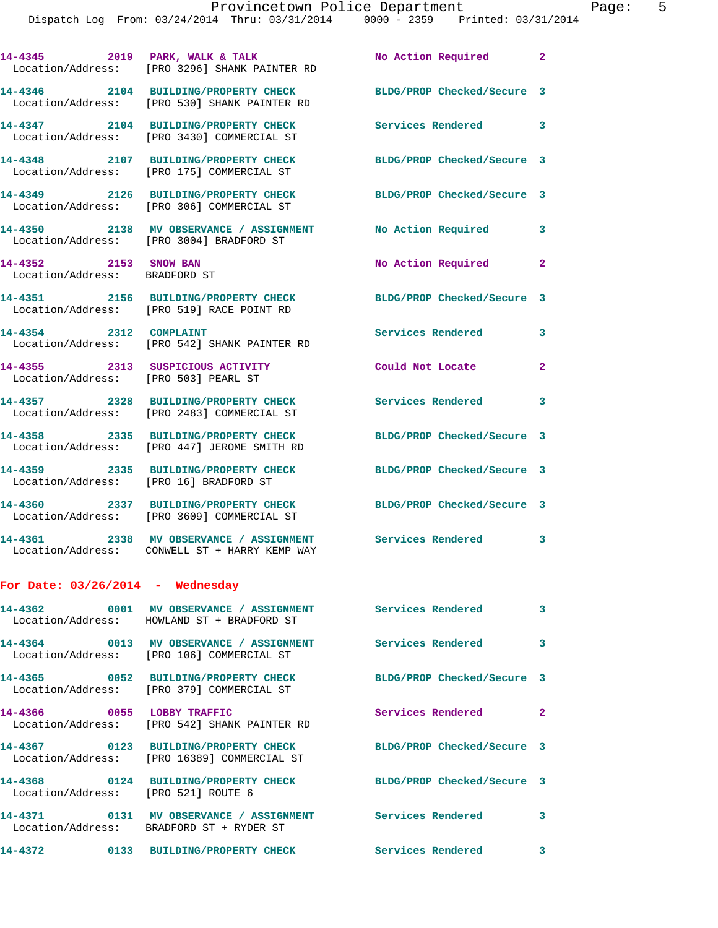**14-4345 2019 PARK, WALK & TALK No Action Required 2**  Location/Address: [PRO 3296] SHANK PAINTER RD **14-4346 2104 BUILDING/PROPERTY CHECK BLDG/PROP Checked/Secure 3**  Location/Address: [PRO 530] SHANK PAINTER RD **14-4347 2104 BUILDING/PROPERTY CHECK Services Rendered 3**  Location/Address: [PRO 3430] COMMERCIAL ST **14-4348 2107 BUILDING/PROPERTY CHECK BLDG/PROP Checked/Secure 3**  Location/Address: [PRO 175] COMMERCIAL ST **14-4349 2126 BUILDING/PROPERTY CHECK BLDG/PROP Checked/Secure 3**  Location/Address: [PRO 306] COMMERCIAL ST **14-4350 2138 MV OBSERVANCE / ASSIGNMENT No Action Required 3**  Location/Address: [PRO 3004] BRADFORD ST **14-4352 2153 SNOW BAN No Action Required 2**  Location/Address: BRADFORD ST **14-4351 2156 BUILDING/PROPERTY CHECK BLDG/PROP Checked/Secure 3**  Location/Address: [PRO 519] RACE POINT RD **14-4354 2312 COMPLAINT Services Rendered 3**  Location/Address: [PRO 542] SHANK PAINTER RD **14-4355 2313 SUSPICIOUS ACTIVITY Could Not Locate 2**  Location/Address: [PRO 503] PEARL ST **14-4357 2328 BUILDING/PROPERTY CHECK Services Rendered 3**  Location/Address: [PRO 2483] COMMERCIAL ST **14-4358 2335 BUILDING/PROPERTY CHECK BLDG/PROP Checked/Secure 3**  Location/Address: [PRO 447] JEROME SMITH RD **14-4359 2335 BUILDING/PROPERTY CHECK BLDG/PROP Checked/Secure 3**  Location/Address: [PRO 16] BRADFORD ST **14-4360 2337 BUILDING/PROPERTY CHECK BLDG/PROP Checked/Secure 3**  Location/Address: [PRO 3609] COMMERCIAL ST **14-4361 2338 MV OBSERVANCE / ASSIGNMENT Services Rendered 3**  Location/Address: CONWELL ST + HARRY KEMP WAY **For Date: 03/26/2014 - Wednesday 14-4362 0001 MV OBSERVANCE / ASSIGNMENT Services Rendered 3**  Location/Address: HOWLAND ST + BRADFORD ST **14-4364 0013 MV OBSERVANCE / ASSIGNMENT Services Rendered 3**  Location/Address: [PRO 106] COMMERCIAL ST **14-4365 0052 BUILDING/PROPERTY CHECK BLDG/PROP Checked/Secure 3**  Location/Address: [PRO 379] COMMERCIAL ST **14-4366 0055 LOBBY TRAFFIC Services Rendered 2**  Location/Address: [PRO 542] SHANK PAINTER RD **14-4367 0123 BUILDING/PROPERTY CHECK BLDG/PROP Checked/Secure 3**  Location/Address: [PRO 16389] COMMERCIAL ST **14-4368 0124 BUILDING/PROPERTY CHECK BLDG/PROP Checked/Secure 3**  Location/Address: [PRO 521] ROUTE 6 **14-4371 0131 MV OBSERVANCE / ASSIGNMENT Services Rendered 3**  Location/Address: BRADFORD ST + RYDER ST **14-4372 0133 BUILDING/PROPERTY CHECK Services Rendered 3**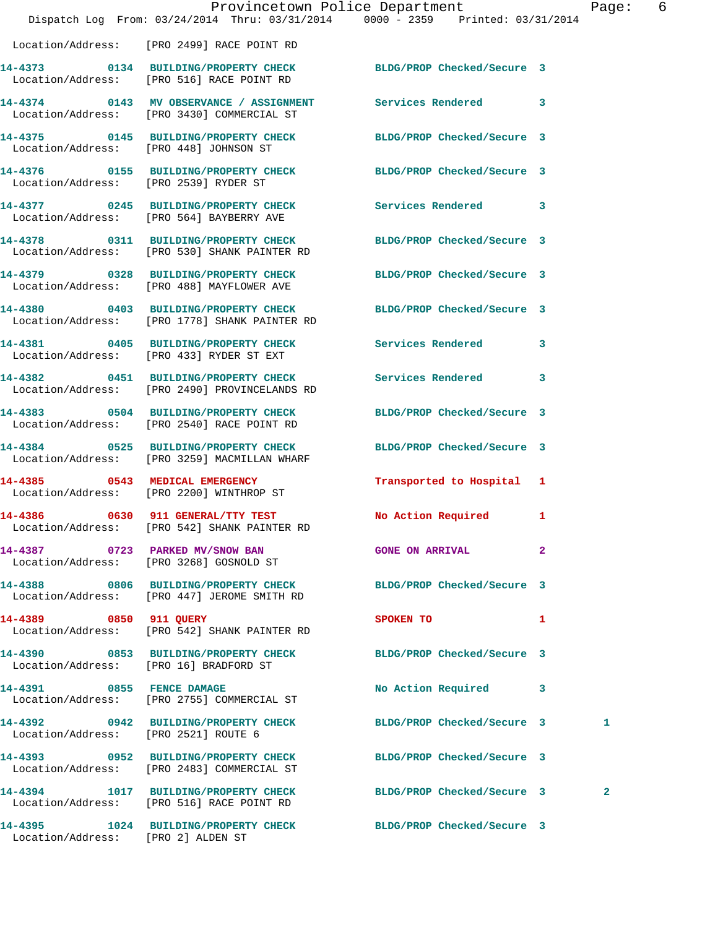|                                        | Provincetown Police Department<br>Dispatch Log From: 03/24/2014 Thru: 03/31/2014 0000 - 2359 Printed: 03/31/2014 |                            | Pag            |  |
|----------------------------------------|------------------------------------------------------------------------------------------------------------------|----------------------------|----------------|--|
|                                        | Location/Address: [PRO 2499] RACE POINT RD                                                                       |                            |                |  |
|                                        | 14-4373 0134 BUILDING/PROPERTY CHECK<br>Location/Address: [PRO 516] RACE POINT RD                                | BLDG/PROP Checked/Secure 3 |                |  |
|                                        | 14-4374 0143 MV OBSERVANCE / ASSIGNMENT Services Rendered<br>Location/Address: [PRO 3430] COMMERCIAL ST          |                            | 3              |  |
| Location/Address: [PRO 448] JOHNSON ST | 14-4375 0145 BUILDING/PROPERTY CHECK BLDG/PROP Checked/Secure 3                                                  |                            |                |  |
| Location/Address: [PRO 2539] RYDER ST  | 14-4376  0155 BUILDING/PROPERTY CHECK BLDG/PROP Checked/Secure 3                                                 |                            |                |  |
|                                        | 14-4377 0245 BUILDING/PROPERTY CHECK Services Rendered<br>Location/Address: [PRO 564] BAYBERRY AVE               |                            | 3              |  |
|                                        | 14-4378 0311 BUILDING/PROPERTY CHECK<br>Location/Address: [PRO 530] SHANK PAINTER RD                             | BLDG/PROP Checked/Secure 3 |                |  |
|                                        | 14-4379 0328 BUILDING/PROPERTY CHECK<br>Location/Address: [PRO 488] MAYFLOWER AVE                                | BLDG/PROP Checked/Secure 3 |                |  |
|                                        | 14-4380 0403 BUILDING/PROPERTY CHECK BLDG/PROP Checked/Secure 3<br>Location/Address: [PRO 1778] SHANK PAINTER RD |                            |                |  |
|                                        | 14-4381 0405 BUILDING/PROPERTY CHECK Services Rendered<br>Location/Address: [PRO 433] RYDER ST EXT               |                            | 3              |  |
|                                        | 14-4382 0451 BUILDING/PROPERTY CHECK<br>Location/Address: [PRO 2490] PROVINCELANDS RD                            | Services Rendered          | 3              |  |
|                                        | 14-4383 0504 BUILDING/PROPERTY CHECK<br>Location/Address: [PRO 2540] RACE POINT RD                               | BLDG/PROP Checked/Secure 3 |                |  |
|                                        | 14-4384 0525 BUILDING/PROPERTY CHECK<br>Location/Address: [PRO 3259] MACMILLAN WHARF                             | BLDG/PROP Checked/Secure 3 |                |  |
|                                        | 14-4385 0543 MEDICAL EMERGENCY<br>Location/Address: [PRO 2200] WINTHROP ST                                       | Transported to Hospital 1  |                |  |
|                                        | 14-4386 0630 911 GENERAL/TTY TEST No Action Required<br>Location/Address: [PRO 542] SHANK PAINTER RD             |                            | 1              |  |
|                                        | 14-4387 0723 PARKED MV/SNOW BAN<br>Location/Address: [PRO 3268] GOSNOLD ST                                       | <b>GONE ON ARRIVAL</b>     | $\overline{2}$ |  |
|                                        | 14-4388 0806 BUILDING/PROPERTY CHECK BLDG/PROP Checked/Secure 3<br>Location/Address: [PRO 447] JEROME SMITH RD   |                            |                |  |
| 14-4389 0850 911 QUERY                 | Location/Address: [PRO 542] SHANK PAINTER RD                                                                     | SPOKEN TO                  | 1              |  |
| Location/Address: [PRO 16] BRADFORD ST | 14-4390 0853 BUILDING/PROPERTY CHECK                                                                             | BLDG/PROP Checked/Secure 3 |                |  |
| 14-4391 0855 FENCE DAMAGE              | Location/Address: [PRO 2755] COMMERCIAL ST                                                                       | No Action Required         | 3              |  |
| Location/Address: [PRO 2521] ROUTE 6   | 14-4392 0942 BUILDING/PROPERTY CHECK                                                                             | BLDG/PROP Checked/Secure 3 | 1              |  |
|                                        | 14-4393 0952 BUILDING/PROPERTY CHECK<br>Location/Address: [PRO 2483] COMMERCIAL ST                               | BLDG/PROP Checked/Secure 3 |                |  |
|                                        | 14-4394 1017 BUILDING/PROPERTY CHECK<br>Location/Address: [PRO 516] RACE POINT RD                                | BLDG/PROP Checked/Secure 3 | $\mathbf{2}$   |  |
| Location/Address: [PRO 2] ALDEN ST     | 14-4395 1024 BUILDING/PROPERTY CHECK BLDG/PROP Checked/Secure 3                                                  |                            |                |  |

age: 6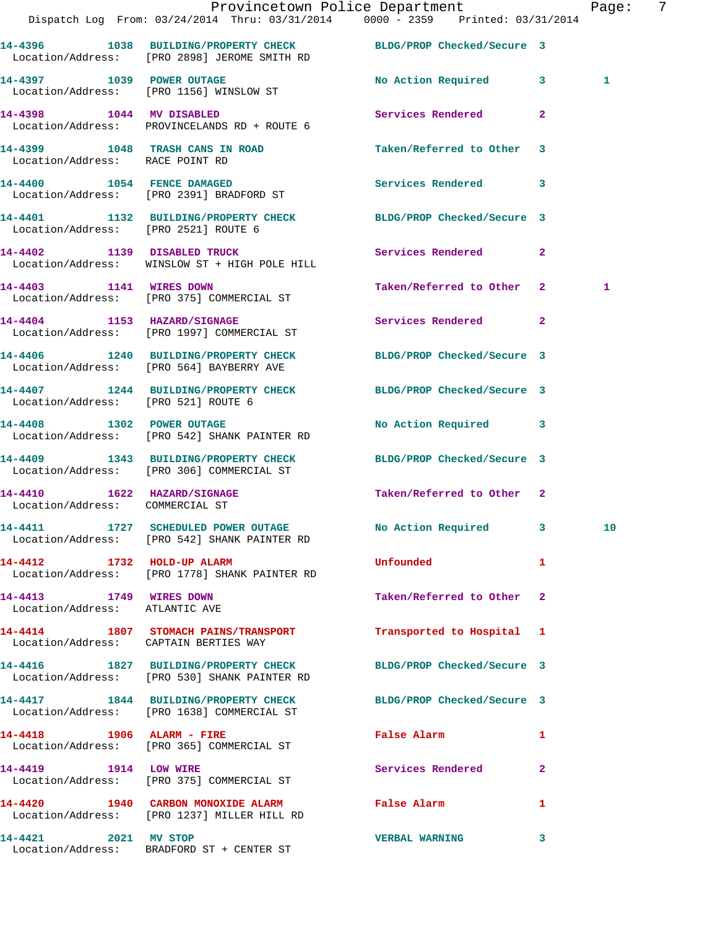|                                                           | Dispatch Log From: 03/24/2014 Thru: 03/31/2014 0000 - 2359 Printed: 03/31/2014                                  | Provincetown Police Department                                                                                 |              | Page: | -7 |
|-----------------------------------------------------------|-----------------------------------------------------------------------------------------------------------------|----------------------------------------------------------------------------------------------------------------|--------------|-------|----|
|                                                           | 14-4396 1038 BUILDING/PROPERTY CHECK BLDG/PROP Checked/Secure 3<br>Location/Address: [PRO 2898] JEROME SMITH RD |                                                                                                                |              |       |    |
|                                                           | 14-4397 1039 POWER OUTAGE<br>Location/Address: [PRO 1156] WINSLOW ST                                            | No Action Required 3                                                                                           |              | 1     |    |
|                                                           | 14-4398 1044 MV DISABLED<br>Location/Address: PROVINCELANDS RD + ROUTE 6                                        | Services Rendered                                                                                              | $\mathbf{2}$ |       |    |
| Location/Address: RACE POINT RD                           | 14-4399 1048 TRASH CANS IN ROAD                                                                                 | Taken/Referred to Other 3                                                                                      |              |       |    |
|                                                           | 14-4400 1054 FENCE DAMAGED<br>Location/Address: [PRO 2391] BRADFORD ST                                          | Services Rendered 3                                                                                            |              |       |    |
| Location/Address: [PRO 2521] ROUTE 6                      | 14-4401 1132 BUILDING/PROPERTY CHECK BLDG/PROP Checked/Secure 3                                                 |                                                                                                                |              |       |    |
|                                                           | 14-4402 1139 DISABLED TRUCK<br>Location/Address: WINSLOW ST + HIGH POLE HILL                                    | Services Rendered 2                                                                                            |              |       |    |
|                                                           | 14-4403 1141 WIRES DOWN<br>Location/Address: [PRO 375] COMMERCIAL ST                                            | Taken/Referred to Other 2                                                                                      |              | 1     |    |
|                                                           | 14-4404 1153 HAZARD/SIGNAGE<br>Location/Address: [PRO 1997] COMMERCIAL ST                                       | Services Rendered 2                                                                                            |              |       |    |
|                                                           | 14-4406 1240 BUILDING/PROPERTY CHECK<br>Location/Address: [PRO 564] BAYBERRY AVE                                | BLDG/PROP Checked/Secure 3                                                                                     |              |       |    |
| Location/Address: [PRO 521] ROUTE 6                       | 14-4407 1244 BUILDING/PROPERTY CHECK BLDG/PROP Checked/Secure 3                                                 |                                                                                                                |              |       |    |
|                                                           | 14-4408 1302 POWER OUTAGE<br>Location/Address: [PRO 542] SHANK PAINTER RD                                       | No Action Required 3                                                                                           |              |       |    |
|                                                           | 14-4409 1343 BUILDING/PROPERTY CHECK<br>Location/Address: [PRO 306] COMMERCIAL ST                               | BLDG/PROP Checked/Secure 3                                                                                     |              |       |    |
| Location/Address: COMMERCIAL ST                           | 14-4410 1622 HAZARD/SIGNAGE                                                                                     | Taken/Referred to Other 2                                                                                      |              |       |    |
|                                                           | 14-4411 1727 SCHEDULED POWER OUTAGE No Action Required 3<br>Location/Address: [PRO 542] SHANK PAINTER RD        |                                                                                                                |              | 10    |    |
| 14-4412 1732 HOLD-UP ALARM                                | Location/Address: [PRO 1778] SHANK PAINTER RD                                                                   | Unfounded                                                                                                      | 1            |       |    |
| 14-4413 1749 WIRES DOWN<br>Location/Address: ATLANTIC AVE |                                                                                                                 | Taken/Referred to Other 2                                                                                      |              |       |    |
| Location/Address: CAPTAIN BERTIES WAY                     | 14-4414 1807 STOMACH PAINS/TRANSPORT                                                                            | Transported to Hospital 1                                                                                      |              |       |    |
|                                                           | 14-4416 1827 BUILDING/PROPERTY CHECK<br>Location/Address: [PRO 530] SHANK PAINTER RD                            | BLDG/PROP Checked/Secure 3                                                                                     |              |       |    |
|                                                           | 14-4417 1844 BUILDING/PROPERTY CHECK BLDG/PROP Checked/Secure 3<br>Location/Address: [PRO 1638] COMMERCIAL ST   |                                                                                                                |              |       |    |
| 14-4418 1906 ALARM - FIRE                                 | Location/Address: [PRO 365] COMMERCIAL ST                                                                       | False Alarm and the state of the state of the state of the state of the state of the state of the state of the | 1            |       |    |
|                                                           | 14-4419 1914 LOW WIRE<br>Location/Address: [PRO 375] COMMERCIAL ST                                              | Services Rendered                                                                                              | $\mathbf{2}$ |       |    |
|                                                           | 14-4420 1940 CARBON MONOXIDE ALARM<br>Location/Address: [PRO 1237] MILLER HILL RD                               | False Alarm                                                                                                    | 1            |       |    |
| 14-4421 2021 MV STOP                                      | Location/Address: BRADFORD ST + CENTER ST                                                                       | <b>VERBAL WARNING</b>                                                                                          | 3            |       |    |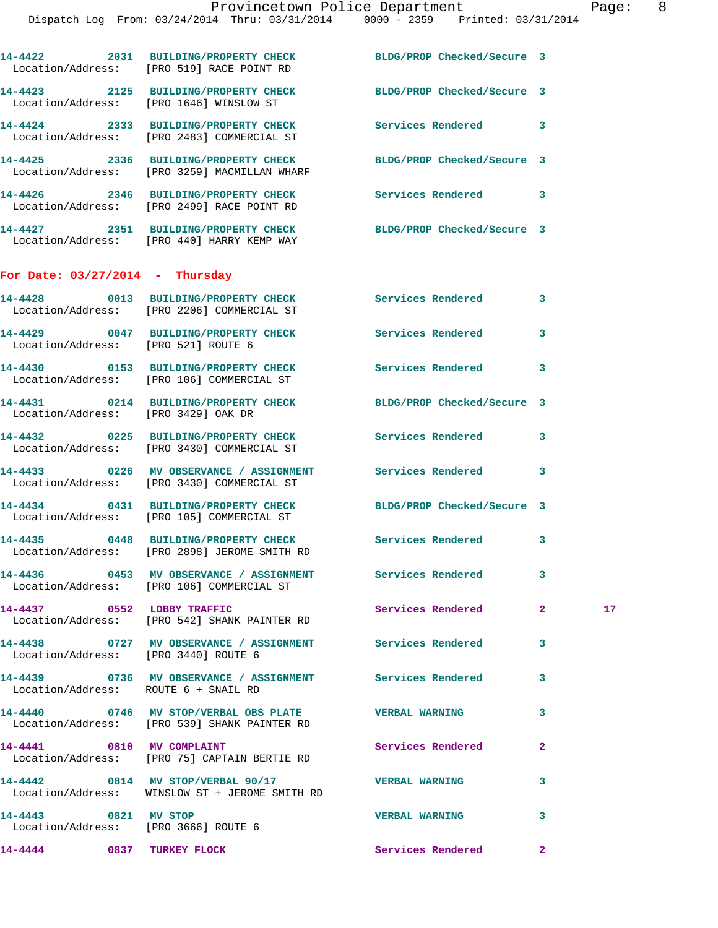|                                                              | 14-4422 2031 BUILDING/PROPERTY CHECK BLDG/PROP Checked/Secure 3<br>Location/Address: [PRO 519] RACE POINT RD  |                            |              |    |
|--------------------------------------------------------------|---------------------------------------------------------------------------------------------------------------|----------------------------|--------------|----|
|                                                              | 14-4423 2125 BUILDING/PROPERTY CHECK<br>Location/Address: [PRO 1646] WINSLOW ST                               | BLDG/PROP Checked/Secure 3 |              |    |
|                                                              | 14-4424 2333 BUILDING/PROPERTY CHECK<br>Location/Address: [PRO 2483] COMMERCIAL ST                            | Services Rendered 3        |              |    |
|                                                              | 14-4425 2336 BUILDING/PROPERTY CHECK<br>Location/Address: [PRO 3259] MACMILLAN WHARF                          | BLDG/PROP Checked/Secure 3 |              |    |
|                                                              | 14-4426 2346 BUILDING/PROPERTY CHECK<br>Location/Address: [PRO 2499] RACE POINT RD                            | Services Rendered 3        |              |    |
|                                                              | 14-4427 2351 BUILDING/PROPERTY CHECK BLDG/PROP Checked/Secure 3<br>Location/Address: [PRO 440] HARRY KEMP WAY |                            |              |    |
| For Date: $03/27/2014$ - Thursday                            |                                                                                                               |                            |              |    |
|                                                              | 14-4428 0013 BUILDING/PROPERTY CHECK Services Rendered 3<br>Location/Address: [PRO 2206] COMMERCIAL ST        |                            |              |    |
| Location/Address: [PRO 521] ROUTE 6                          | 14-4429 0047 BUILDING/PROPERTY CHECK Services Rendered                                                        |                            | 3            |    |
|                                                              | 14-4430  0153 BUILDING/PROPERTY CHECK Services Rendered 3<br>Location/Address: [PRO 106] COMMERCIAL ST        |                            |              |    |
| Location/Address: [PRO 3429] OAK DR                          | 14-4431 0214 BUILDING/PROPERTY CHECK BLDG/PROP Checked/Secure 3                                               |                            |              |    |
|                                                              | 14-4432 0225 BUILDING/PROPERTY CHECK<br>Location/Address: [PRO 3430] COMMERCIAL ST                            | Services Rendered 3        |              |    |
|                                                              | 14-4433 6226 MV OBSERVANCE / ASSIGNMENT Services Rendered<br>Location/Address: [PRO 3430] COMMERCIAL ST       |                            | 3            |    |
|                                                              | 14-4434 0431 BUILDING/PROPERTY CHECK<br>Location/Address: [PRO 105] COMMERCIAL ST                             | BLDG/PROP Checked/Secure 3 |              |    |
|                                                              | 14-4435 0448 BUILDING/PROPERTY CHECK<br>Location/Address: [PRO 2898] JEROME SMITH RD                          | Services Rendered 3        |              |    |
|                                                              | 14-4436 6453 MV OBSERVANCE / ASSIGNMENT Services Rendered<br>Location/Address: [PRO 106] COMMERCIAL ST        |                            | 3            |    |
|                                                              | 14-4437 0552 LOBBY TRAFFIC<br>Location/Address: [PRO 542] SHANK PAINTER RD                                    | Services Rendered          | $\mathbf{2}$ | 17 |
| Location/Address: [PRO 3440] ROUTE 6                         | 14-4438 6727 MV OBSERVANCE / ASSIGNMENT Services Rendered                                                     |                            | 3            |    |
| Location/Address: ROUTE 6 + SNAIL RD                         | 14-4439 6736 MV OBSERVANCE / ASSIGNMENT Services Rendered                                                     |                            | 3            |    |
|                                                              | 14-4440 0746 MV STOP/VERBAL OBS PLATE WERBAL WARNING<br>Location/Address: [PRO 539] SHANK PAINTER RD          |                            | 3            |    |
|                                                              | 14-4441 0810 MV COMPLAINT<br>Location/Address: [PRO 75] CAPTAIN BERTIE RD                                     | Services Rendered          | 2            |    |
|                                                              | 14-4442 0814 MV STOP/VERBAL 90/17<br>Location/Address: WINSLOW ST + JEROME SMITH RD                           | <b>VERBAL WARNING</b>      | 3            |    |
| 14-4443 0821 MV STOP<br>Location/Address: [PRO 3666] ROUTE 6 |                                                                                                               | <b>VERBAL WARNING</b>      | 3            |    |
| 14-4444 0837 TURKEY FLOCK                                    |                                                                                                               | Services Rendered          | $\mathbf{2}$ |    |
|                                                              |                                                                                                               |                            |              |    |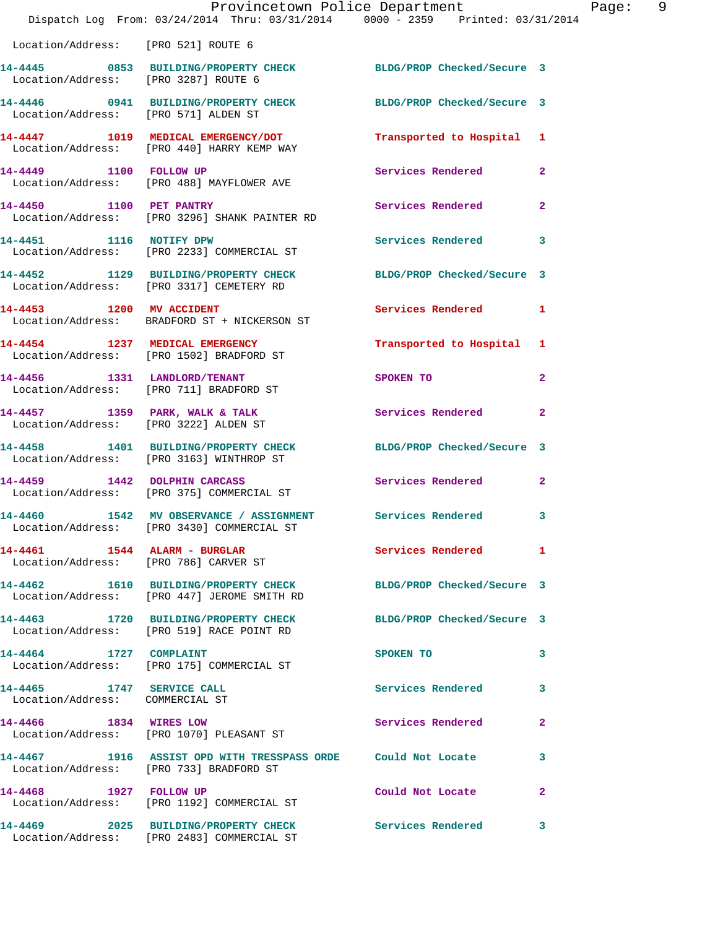|                                                              | Provincetown Police Department<br>Dispatch Log From: 03/24/2014 Thru: 03/31/2014 0000 - 2359 Printed: 03/31/2014           |                            | Page: 9      |
|--------------------------------------------------------------|----------------------------------------------------------------------------------------------------------------------------|----------------------------|--------------|
| Location/Address: [PRO 521] ROUTE 6                          |                                                                                                                            |                            |              |
|                                                              | 14-4445 0853 BUILDING/PROPERTY CHECK BLDG/PROP Checked/Secure 3<br>Location/Address: [PRO 3287] ROUTE 6                    |                            |              |
| Location/Address: [PRO 571] ALDEN ST                         | 14-4446 0941 BUILDING/PROPERTY CHECK BLDG/PROP Checked/Secure 3                                                            |                            |              |
|                                                              | 14-4447 1019 MEDICAL EMERGENCY/DOT<br>Location/Address: [PRO 440] HARRY KEMP WAY                                           | Transported to Hospital 1  |              |
|                                                              | 14-4449 1100 FOLLOW UP<br>Location/Address: [PRO 488] MAYFLOWER AVE                                                        | Services Rendered          | $\mathbf{2}$ |
|                                                              | 14-4450 1100 PET PANTRY<br>Location/Address: [PRO 3296] SHANK PAINTER RD                                                   | Services Rendered          | $\mathbf{2}$ |
|                                                              | 14-4451 1116 NOTIFY DPW<br>Location/Address: [PRO 2233] COMMERCIAL ST                                                      | Services Rendered          | $\mathbf{3}$ |
|                                                              | 14-4452 1129 BUILDING/PROPERTY CHECK BLDG/PROP Checked/Secure 3<br>Location/Address: [PRO 3317] CEMETERY RD                |                            |              |
|                                                              | 14-4453 1200 MV ACCIDENT<br>Location/Address: BRADFORD ST + NICKERSON ST                                                   | Services Rendered 1        |              |
|                                                              | 14-4454 1237 MEDICAL EMERGENCY<br>Location/Address: [PRO 1502] BRADFORD ST                                                 | Transported to Hospital 1  |              |
|                                                              | 14-4456 1331 LANDLORD/TENANT<br>Location/Address: [PRO 711] BRADFORD ST                                                    | SPOKEN TO                  | $\mathbf{2}$ |
|                                                              | 14-4457 1359 PARK, WALK & TALK<br>Location/Address: [PRO 3222] ALDEN ST                                                    | Services Rendered 2        |              |
|                                                              | 14-4458 1401 BUILDING/PROPERTY CHECK<br>Location/Address: [PRO 3163] WINTHROP ST                                           | BLDG/PROP Checked/Secure 3 |              |
|                                                              | 14-4459 1442 DOLPHIN CARCASS<br>Location/Address: [PRO 375] COMMERCIAL ST                                                  | Services Rendered 2        |              |
|                                                              | 14-4460           1542 MV OBSERVANCE / ASSIGNMENT          Services Rendered<br>Location/Address: [PRO 3430] COMMERCIAL ST |                            | 3            |
|                                                              | Location/Address: [PRO 786] CARVER ST                                                                                      | Services Rendered 1        |              |
|                                                              | 14-4462 1610 BUILDING/PROPERTY CHECK BLDG/PROP Checked/Secure 3<br>Location/Address: [PRO 447] JEROME SMITH RD             |                            |              |
|                                                              | 14-4463 1720 BUILDING/PROPERTY CHECK BLDG/PROP Checked/Secure 3<br>Location/Address: [PRO 519] RACE POINT RD               |                            |              |
|                                                              | 14-4464 1727 COMPLAINT<br>Location/Address: [PRO 175] COMMERCIAL ST                                                        | SPOKEN TO                  | 3            |
| 14-4465 1747 SERVICE CALL<br>Location/Address: COMMERCIAL ST |                                                                                                                            | Services Rendered 3        |              |
|                                                              | 14-4466 1834 WIRES LOW<br>Location/Address: [PRO 1070] PLEASANT ST                                                         | Services Rendered          | $\mathbf{2}$ |
|                                                              | 14-4467 1916 ASSIST OPD WITH TRESSPASS ORDE Could Not Locate 3<br>Location/Address: [PRO 733] BRADFORD ST                  |                            |              |
|                                                              | 14-4468 1927 FOLLOW UP<br>Location/Address: [PRO 1192] COMMERCIAL ST                                                       | Could Not Locate           | $\mathbf{2}$ |
|                                                              | 14-4469 2025 BUILDING/PROPERTY CHECK Services Rendered 3<br>Location/Address: [PRO 2483] COMMERCIAL ST                     |                            |              |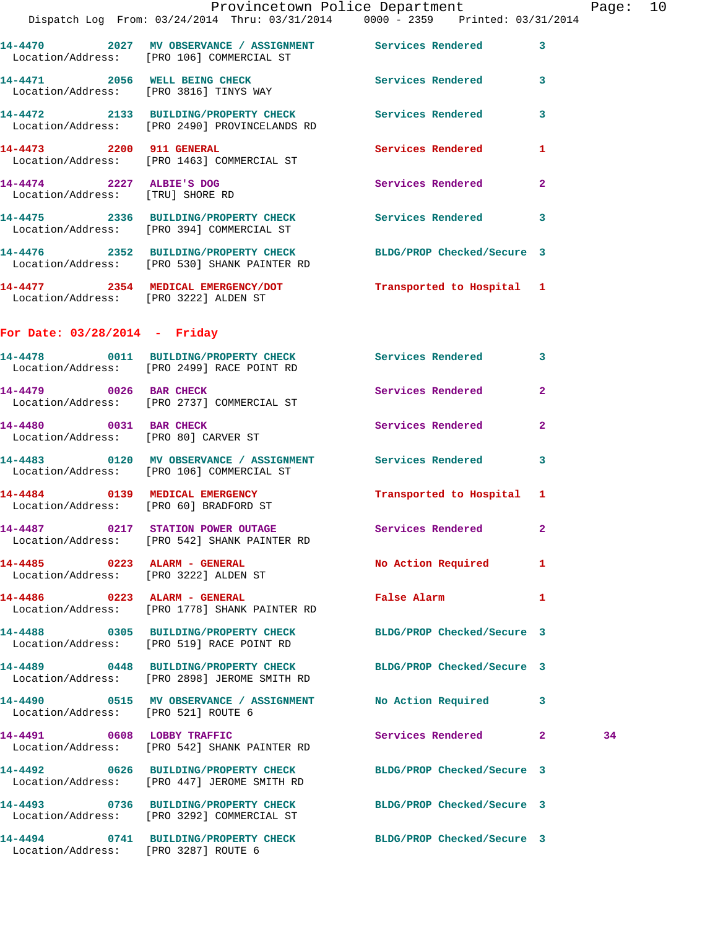|                                                              | Provincetown Police Department                                                        |                          |                         |
|--------------------------------------------------------------|---------------------------------------------------------------------------------------|--------------------------|-------------------------|
|                                                              | Dispatch Log From: 03/24/2014 Thru: 03/31/2014 0000 - 2359 Printed: 03/31/2014        |                          |                         |
|                                                              | Location/Address: [PRO 106] COMMERCIAL ST                                             |                          | $\overline{\mathbf{3}}$ |
|                                                              | 14-4471 2056 WELL BEING CHECK<br>Location/Address: [PRO 3816] TINYS WAY               | <b>Services Rendered</b> | 3                       |
|                                                              | 14-4472 2133 BUILDING/PROPERTY CHECK<br>Location/Address: [PRO 2490] PROVINCELANDS RD | <b>Services Rendered</b> | 3                       |
| 14-4473 2200 911 GENERAL                                     | Location/Address: [PRO 1463] COMMERCIAL ST                                            | Services Rendered        | 1                       |
| 14-4474 2227 ALBIE'S DOG<br>Location/Address: [TRU] SHORE RD |                                                                                       | Services Rendered        | $\overline{2}$          |
|                                                              | 14-4475 2336 BUILDING/PROPERTY CHECK<br>Location/Address: [PRO 394] COMMERCIAL ST     | <b>Services Rendered</b> | 3                       |
|                                                              |                                                                                       |                          |                         |

**14-4477 2354 MEDICAL EMERGENCY/DOT Transported to Hospital 1**  Location/Address: [PRO 3222] ALDEN ST

**14-4476 2352 BUILDING/PROPERTY CHECK BLDG/PROP Checked/Secure 3** 

## **For Date: 03/28/2014 - Friday**

Location/Address: [PRO 530] SHANK PAINTER RD

|                                     | 14-4478 0011 BUILDING/PROPERTY CHECK Services Rendered<br>Location/Address: [PRO 2499] RACE POINT RD            |                                 | $\mathbf{3}$   |    |
|-------------------------------------|-----------------------------------------------------------------------------------------------------------------|---------------------------------|----------------|----|
| 14-4479 0026 BAR CHECK              | Location/Address: [PRO 2737] COMMERCIAL ST                                                                      | Services Rendered 2             |                |    |
| 14-4480 0031 BAR CHECK              | Location/Address: [PRO 80] CARVER ST                                                                            | <b>Services Rendered</b>        | $\overline{2}$ |    |
|                                     | 14-4483 0120 MV OBSERVANCE / ASSIGNMENT Services Rendered<br>Location/Address: [PRO 106] COMMERCIAL ST          |                                 | 3              |    |
|                                     | 14-4484 0139 MEDICAL EMERGENCY<br>Location/Address: [PRO 60] BRADFORD ST                                        | Transported to Hospital 1       |                |    |
|                                     | 14-4487 		 0217 STATION POWER OUTAGE 		 Services Rendered<br>Location/Address: [PRO 542] SHANK PAINTER RD       |                                 | $\mathbf{2}$   |    |
|                                     | 14-4485 0223 ALARM - GENERAL<br>Location/Address: [PRO 3222] ALDEN ST                                           | No Action Required 1            |                |    |
|                                     | 14-4486 0223 ALARM - GENERAL<br>Location/Address: [PRO 1778] SHANK PAINTER RD                                   | False Alarm <b>Example 2018</b> | $\mathbf{1}$   |    |
|                                     | 14-4488 0305 BUILDING/PROPERTY CHECK BLDG/PROP Checked/Secure 3<br>Location/Address: [PRO 519] RACE POINT RD    |                                 |                |    |
|                                     | 14-4489 0448 BUILDING/PROPERTY CHECK BLDG/PROP Checked/Secure 3<br>Location/Address: [PRO 2898] JEROME SMITH RD |                                 |                |    |
| Location/Address: [PRO 521] ROUTE 6 | 14-4490 0515 MV OBSERVANCE / ASSIGNMENT No Action Required 3                                                    |                                 |                |    |
|                                     | 14-4491 0608 LOBBY TRAFFIC<br>Location/Address: [PRO 542] SHANK PAINTER RD                                      | Services Rendered 2             |                | 34 |
|                                     | 14-4492 0626 BUILDING/PROPERTY CHECK BLDG/PROP Checked/Secure 3<br>Location/Address: [PRO 447] JEROME SMITH RD  |                                 |                |    |
|                                     | 14-4493 0736 BUILDING/PROPERTY CHECK BLDG/PROP Checked/Secure 3<br>Location/Address: [PRO 3292] COMMERCIAL ST   |                                 |                |    |
|                                     | 14-4494 0741 BUILDING/PROPERTY CHECK BLDG/PROP Checked/Secure 3<br>Location/Address: [PRO 3287] ROUTE 6         |                                 |                |    |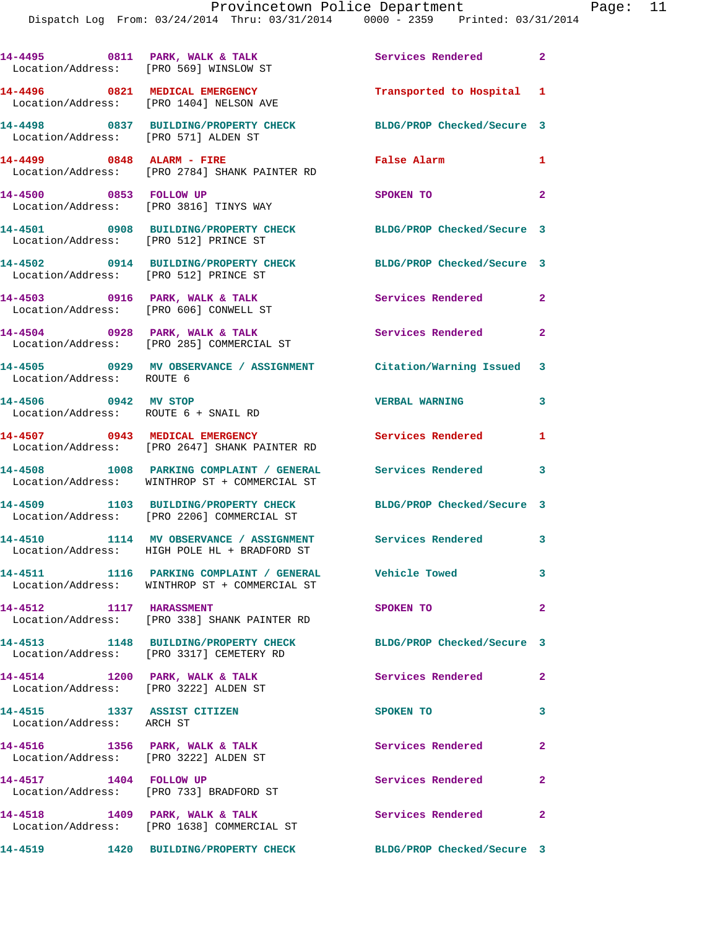|                                                          | 14-4495 0811 PARK, WALK & TALK<br>Location/Address: [PRO 569] WINSLOW ST                                  | Services Rendered          | $\mathbf{2}$   |
|----------------------------------------------------------|-----------------------------------------------------------------------------------------------------------|----------------------------|----------------|
|                                                          | 14-4496 0821 MEDICAL EMERGENCY<br>Location/Address: [PRO 1404] NELSON AVE                                 | Transported to Hospital    | -1             |
| Location/Address: [PRO 571] ALDEN ST                     | 14-4498 0837 BUILDING/PROPERTY CHECK                                                                      | BLDG/PROP Checked/Secure 3 |                |
| 14-4499 0848 ALARM - FIRE                                | Location/Address: [PRO 2784] SHANK PAINTER RD                                                             | False Alarm                | 1              |
| 14-4500 0853 FOLLOW UP                                   | Location/Address: [PRO 3816] TINYS WAY                                                                    | SPOKEN TO                  | $\overline{a}$ |
| Location/Address: [PRO 512] PRINCE ST                    | 14-4501 0908 BUILDING/PROPERTY CHECK BLDG/PROP Checked/Secure 3                                           |                            |                |
| Location/Address: [PRO 512] PRINCE ST                    | 14-4502 0914 BUILDING/PROPERTY CHECK                                                                      | BLDG/PROP Checked/Secure 3 |                |
|                                                          | 14-4503 0916 PARK, WALK & TALK<br>Location/Address: [PRO 606] CONWELL ST                                  | Services Rendered          | $\mathbf{2}$   |
|                                                          | 14-4504 0928 PARK, WALK & TALK<br>Location/Address: [PRO 285] COMMERCIAL ST                               | <b>Services Rendered</b>   | $\overline{2}$ |
| Location/Address: ROUTE 6                                | 14-4505 0929 MV OBSERVANCE / ASSIGNMENT Citation/Warning Issued                                           |                            | 3              |
| 14-4506 0942 MV STOP                                     | Location/Address: ROUTE 6 + SNAIL RD                                                                      | <b>VERBAL WARNING</b>      | 3              |
| 14-4507 0943 MEDICAL EMERGENCY                           | Location/Address: [PRO 2647] SHANK PAINTER RD                                                             | Services Rendered          | 1              |
|                                                          | 14-4508 1008 PARKING COMPLAINT / GENERAL<br>Location/Address: WINTHROP ST + COMMERCIAL ST                 | <b>Services Rendered</b>   | 3              |
|                                                          | 14-4509 1103 BUILDING/PROPERTY CHECK<br>Location/Address: [PRO 2206] COMMERCIAL ST                        | BLDG/PROP Checked/Secure 3 |                |
|                                                          | 14-4510 1114 MV OBSERVANCE / ASSIGNMENT Services Rendered<br>Location/Address: HIGH POLE HL + BRADFORD ST |                            | 3              |
|                                                          | 14-4511 1116 PARKING COMPLAINT / GENERAL Vehicle Towed<br>Location/Address: WINTHROP ST + COMMERCIAL ST   |                            | 3              |
| 14-4512 1117 HARASSMENT                                  | Location/Address: [PRO 338] SHANK PAINTER RD                                                              | SPOKEN TO                  | $\mathbf{2}$   |
|                                                          | 14-4513 1148 BUILDING/PROPERTY CHECK<br>Location/Address: [PRO 3317] CEMETERY RD                          | BLDG/PROP Checked/Secure 3 |                |
|                                                          | 14-4514 1200 PARK, WALK & TALK<br>Location/Address: [PRO 3222] ALDEN ST                                   | Services Rendered          | $\overline{2}$ |
| 14-4515 1337 ASSIST CITIZEN<br>Location/Address: ARCH ST |                                                                                                           | SPOKEN TO                  | 3              |
|                                                          | 14-4516 1356 PARK, WALK & TALK<br>Location/Address: [PRO 3222] ALDEN ST                                   | Services Rendered          | $\mathbf{2}$   |
| 14-4517 1404 FOLLOW UP                                   | Location/Address: [PRO 733] BRADFORD ST                                                                   | Services Rendered          | $\mathbf{2}$   |
|                                                          | 14-4518 1409 PARK, WALK & TALK<br>Location/Address: [PRO 1638] COMMERCIAL ST                              | <b>Services Rendered</b>   | $\mathbf{2}$   |

**14-4519 1420 BUILDING/PROPERTY CHECK BLDG/PROP Checked/Secure 3**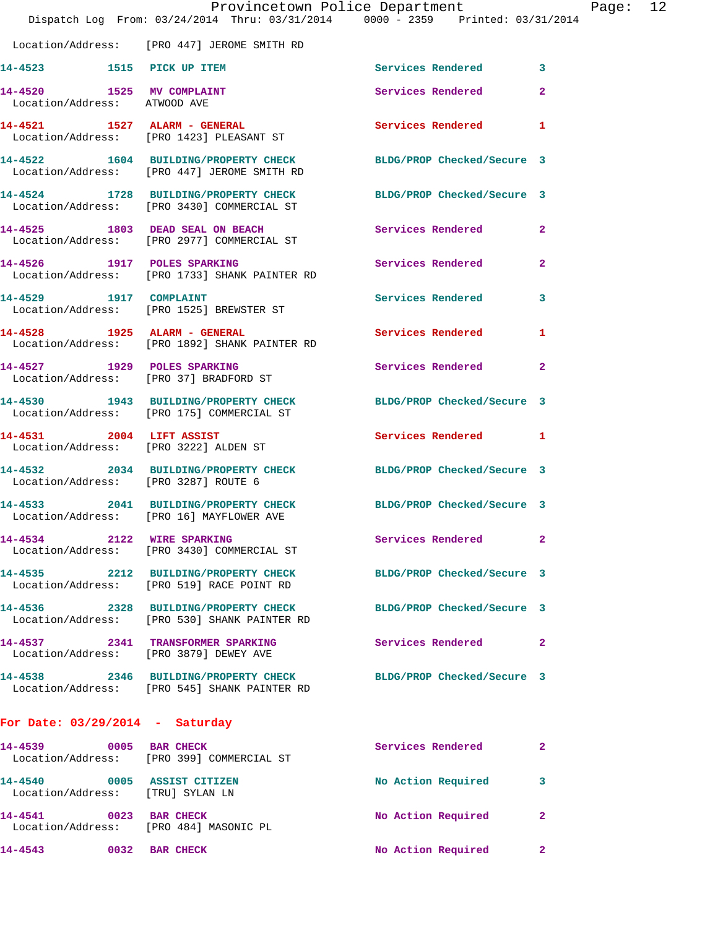|                                                                 | Provincetown Police Department<br>Dispatch Log From: 03/24/2014 Thru: 03/31/2014 0000 - 2359 Printed: 03/31/2014 |                            |                |
|-----------------------------------------------------------------|------------------------------------------------------------------------------------------------------------------|----------------------------|----------------|
|                                                                 | Location/Address: [PRO 447] JEROME SMITH RD                                                                      |                            |                |
| 14-4523 1515 PICK UP ITEM                                       |                                                                                                                  | <b>Services Rendered</b>   | 3              |
| 14-4520 1525 MV COMPLAINT<br>Location/Address: ATWOOD AVE       |                                                                                                                  | Services Rendered          | $\overline{2}$ |
|                                                                 | 14-4521 1527 ALARM - GENERAL<br>Location/Address: [PRO 1423] PLEASANT ST                                         | <b>Services Rendered</b>   | 1              |
|                                                                 | 14-4522 1604 BUILDING/PROPERTY CHECK BLDG/PROP Checked/Secure 3<br>Location/Address: [PRO 447] JEROME SMITH RD   |                            |                |
|                                                                 | 14-4524 1728 BUILDING/PROPERTY CHECK BLDG/PROP Checked/Secure 3<br>Location/Address: [PRO 3430] COMMERCIAL ST    |                            |                |
|                                                                 | 14-4525 1803 DEAD SEAL ON BEACH<br>Location/Address: [PRO 2977] COMMERCIAL ST                                    | Services Rendered          | $\mathbf{2}$   |
|                                                                 | 14-4526 1917 POLES SPARKING<br>Location/Address: [PRO 1733] SHANK PAINTER RD                                     | Services Rendered          | $\mathbf{2}$   |
| 14-4529 1917 COMPLAINT                                          | Location/Address: [PRO 1525] BREWSTER ST                                                                         | <b>Services Rendered</b>   | 3              |
|                                                                 | 14-4528 1925 ALARM - GENERAL<br>Location/Address: [PRO 1892] SHANK PAINTER RD                                    | <b>Services Rendered</b>   | 1              |
| 14-4527 1929 POLES SPARKING                                     | Location/Address: [PRO 37] BRADFORD ST                                                                           | Services Rendered          | $\mathbf{2}$   |
|                                                                 | 14-4530 1943 BUILDING/PROPERTY CHECK<br>Location/Address: [PRO 175] COMMERCIAL ST                                | BLDG/PROP Checked/Secure 3 |                |
| 14-4531 2004 LIFT ASSIST                                        | Location/Address: [PRO 3222] ALDEN ST                                                                            | <b>Services Rendered</b>   | 1              |
| Location/Address: [PRO 3287] ROUTE 6                            | 14-4532 2034 BUILDING/PROPERTY CHECK BLDG/PROP Checked/Secure 3                                                  |                            |                |
|                                                                 | 14-4533 2041 BUILDING/PROPERTY CHECK<br>Location/Address: [PRO 16] MAYFLOWER AVE                                 | BLDG/PROP Checked/Secure 3 |                |
|                                                                 | 14-4534 2122 WIRE SPARKING<br>Location/Address: [PRO 3430] COMMERCIAL ST                                         | Services Rendered          | 2              |
|                                                                 | 14-4535 2212 BUILDING/PROPERTY CHECK<br>Location/Address: [PRO 519] RACE POINT RD                                | BLDG/PROP Checked/Secure 3 |                |
|                                                                 | 14-4536 2328 BUILDING/PROPERTY CHECK<br>Location/Address: [PRO 530] SHANK PAINTER RD                             | BLDG/PROP Checked/Secure 3 |                |
|                                                                 | 14-4537 2341 TRANSFORMER SPARKING<br>Location/Address: [PRO 3879] DEWEY AVE                                      | Services Rendered          | $\mathbf{2}$   |
|                                                                 | 14-4538 2346 BUILDING/PROPERTY CHECK<br>Location/Address: [PRO 545] SHANK PAINTER RD                             | BLDG/PROP Checked/Secure 3 |                |
| For Date: $03/29/2014$ - Saturday                               |                                                                                                                  |                            |                |
| 14-4539 0005 BAR CHECK                                          | Location/Address: [PRO 399] COMMERCIAL ST                                                                        | <b>Services Rendered</b>   | $\mathbf{2}$   |
| 14-4540 0005 ASSIST CITIZEN<br>Location/Address: [TRU] SYLAN LN |                                                                                                                  | No Action Required         | 3              |
| 14-4541 0023 BAR CHECK                                          | Location/Address: [PRO 484] MASONIC PL                                                                           | No Action Required         | $\mathbf{2}$   |

**14-4543 0032 BAR CHECK No Action Required 2** 

Page:  $12$ <br>014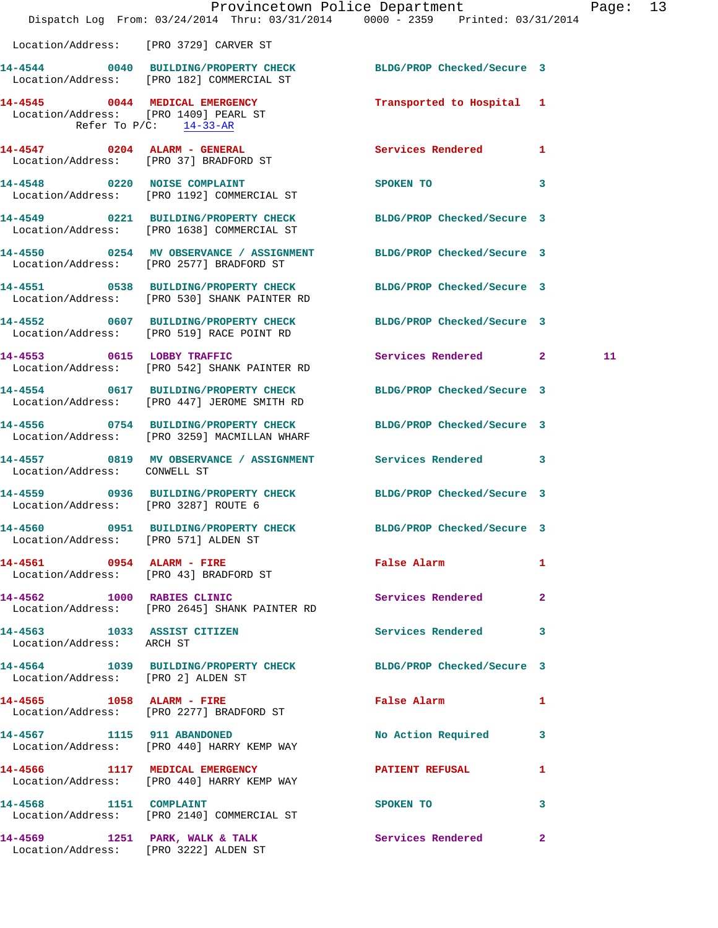|                                                          |                                                                                     | Provincetown Police Department<br>Dispatch Log From: 03/24/2014 Thru: 03/31/2014 0000 - 2359 Printed: 03/31/2014 |              | Page: 13 |  |
|----------------------------------------------------------|-------------------------------------------------------------------------------------|------------------------------------------------------------------------------------------------------------------|--------------|----------|--|
| Location/Address: [PRO 3729] CARVER ST                   |                                                                                     |                                                                                                                  |              |          |  |
|                                                          | Location/Address: [PRO 182] COMMERCIAL ST                                           | 14-4544 0040 BUILDING/PROPERTY CHECK BLDG/PROP Checked/Secure 3                                                  |              |          |  |
| Refer To $P/C$ : 14-33-AR                                | 14-4545 0044 MEDICAL EMERGENCY<br>Location/Address: [PRO 1409] PEARL ST             | Transported to Hospital 1                                                                                        |              |          |  |
|                                                          | 14-4547 0204 ALARM - GENERAL<br>Location/Address: [PRO 37] BRADFORD ST              | Services Rendered 1                                                                                              |              |          |  |
|                                                          | 14-4548 0220 NOISE COMPLAINT<br>Location/Address: [PRO 1192] COMMERCIAL ST          | SPOKEN TO NAME OF SPOKEN TO                                                                                      | $\mathbf{3}$ |          |  |
|                                                          | Location/Address: [PRO 1638] COMMERCIAL ST                                          | 14-4549 0221 BUILDING/PROPERTY CHECK BLDG/PROP Checked/Secure 3                                                  |              |          |  |
|                                                          | Location/Address: [PRO 2577] BRADFORD ST                                            | 14-4550 0254 MV OBSERVANCE / ASSIGNMENT BLDG/PROP Checked/Secure 3                                               |              |          |  |
|                                                          | Location/Address: [PRO 530] SHANK PAINTER RD                                        | 14-4551 0538 BUILDING/PROPERTY CHECK BLDG/PROP Checked/Secure 3                                                  |              |          |  |
|                                                          | Location/Address: [PRO 519] RACE POINT RD                                           | 14-4552 0607 BUILDING/PROPERTY CHECK BLDG/PROP Checked/Secure 3                                                  |              |          |  |
|                                                          | 14-4553 0615 LOBBY TRAFFIC<br>Location/Address: [PRO 542] SHANK PAINTER RD          | Services Rendered 2                                                                                              |              | 11       |  |
|                                                          | 14-4554 0617 BUILDING/PROPERTY CHECK<br>Location/Address: [PRO 447] JEROME SMITH RD | BLDG/PROP Checked/Secure 3                                                                                       |              |          |  |
|                                                          | Location/Address: [PRO 3259] MACMILLAN WHARF                                        | 14-4556 0754 BUILDING/PROPERTY CHECK BLDG/PROP Checked/Secure 3                                                  |              |          |  |
|                                                          |                                                                                     | 14-4557 0819 MV OBSERVANCE / ASSIGNMENT Services Rendered 3<br>Location/Address: CONWELL ST                      |              |          |  |
| Location/Address: [PRO 3287] ROUTE 6                     |                                                                                     | 14-4559 0936 BUILDING/PROPERTY CHECK BLDG/PROP Checked/Secure 3                                                  |              |          |  |
| Location/Address: [PRO 571] ALDEN ST                     |                                                                                     | 14-4560 0951 BUILDING/PROPERTY CHECK BLDG/PROP Checked/Secure 3                                                  |              |          |  |
|                                                          | 14-4561 0954 ALARM - FIRE<br>Location/Address: [PRO 43] BRADFORD ST                 | False Alarm 1                                                                                                    |              |          |  |
|                                                          | 14-4562 1000 RABIES CLINIC<br>Location/Address: [PRO 2645] SHANK PAINTER RD         | Services Rendered 2                                                                                              |              |          |  |
| 14-4563 1033 ASSIST CITIZEN<br>Location/Address: ARCH ST |                                                                                     | Services Rendered 3                                                                                              |              |          |  |
| Location/Address: [PRO 2] ALDEN ST                       |                                                                                     | 14-4564 1039 BUILDING/PROPERTY CHECK BLDG/PROP Checked/Secure 3                                                  |              |          |  |
|                                                          | 14-4565 1058 ALARM - FIRE<br>Location/Address: [PRO 2277] BRADFORD ST               | False Alarm 1                                                                                                    |              |          |  |
|                                                          | 14-4567 1115 911 ABANDONED<br>Location/Address: [PRO 440] HARRY KEMP WAY            | No Action Required 3                                                                                             |              |          |  |
|                                                          | 14-4566 1117 MEDICAL EMERGENCY<br>Location/Address: [PRO 440] HARRY KEMP WAY        | PATIENT REFUSAL                                                                                                  | $\mathbf{1}$ |          |  |
|                                                          | 14-4568 1151 COMPLAINT<br>Location/Address: [PRO 2140] COMMERCIAL ST                | SPOKEN TO                                                                                                        | 3            |          |  |
| 14-4569 1251 PARK, WALK & TALK                           | Location/Address: [PRO 3222] ALDEN ST                                               | Services Rendered 2                                                                                              |              |          |  |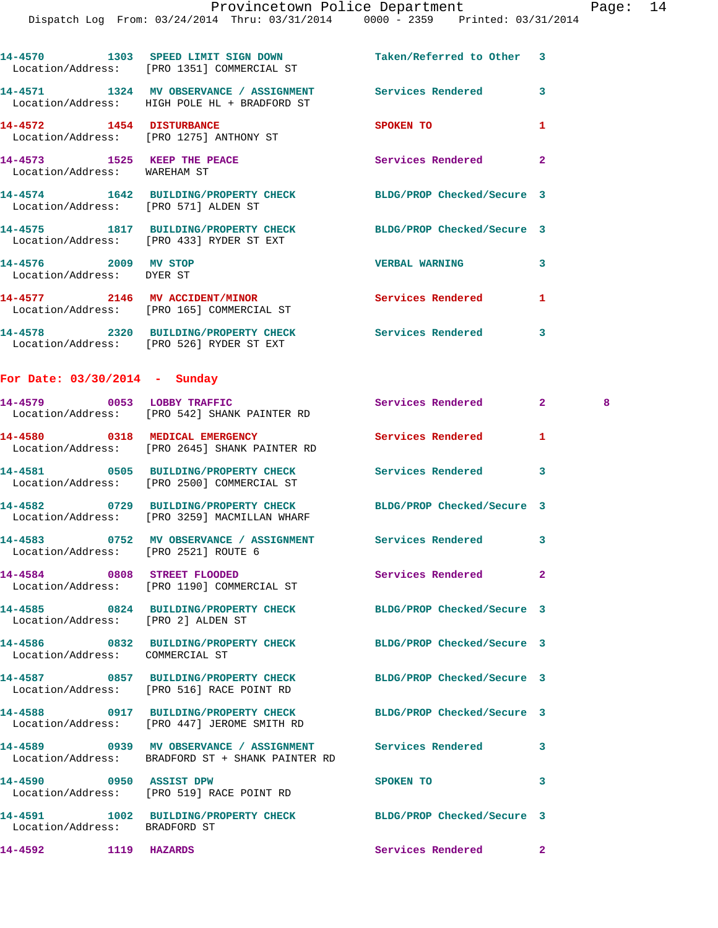|                                                             | 14-4570 1303 SPEED LIMIT SIGN DOWN<br>Location/Address: [PRO 1351] COMMERCIAL ST                               | Taken/Referred to Other 3  |                |   |
|-------------------------------------------------------------|----------------------------------------------------------------------------------------------------------------|----------------------------|----------------|---|
|                                                             | 14-4571 1324 MV OBSERVANCE / ASSIGNMENT<br>Location/Address: HIGH POLE HL + BRADFORD ST                        | <b>Services Rendered</b>   | 3              |   |
| 14-4572 1454 DISTURBANCE                                    | Location/Address: [PRO 1275] ANTHONY ST                                                                        | SPOKEN TO                  | 1              |   |
| 14-4573 1525 KEEP THE PEACE<br>Location/Address: WAREHAM ST |                                                                                                                | Services Rendered          | $\mathbf{2}$   |   |
| Location/Address: [PRO 571] ALDEN ST                        | 14-4574 1642 BUILDING/PROPERTY CHECK BLDG/PROP Checked/Secure 3                                                |                            |                |   |
|                                                             | 14-4575 1817 BUILDING/PROPERTY CHECK<br>Location/Address: [PRO 433] RYDER ST EXT                               | BLDG/PROP Checked/Secure 3 |                |   |
| 14-4576 2009 MV STOP<br>Location/Address: DYER ST           |                                                                                                                | <b>VERBAL WARNING</b>      | 3              |   |
|                                                             | 14-4577 2146 MV ACCIDENT/MINOR<br>Location/Address: [PRO 165] COMMERCIAL ST                                    | <b>Services Rendered</b>   | 1              |   |
|                                                             | 14-4578 2320 BUILDING/PROPERTY CHECK Services Rendered<br>Location/Address: [PRO 526] RYDER ST EXT             |                            | 3              |   |
| For Date: $03/30/2014$ - Sunday                             |                                                                                                                |                            |                |   |
|                                                             | 14-4579 0053 LOBBY TRAFFIC<br>Location/Address: [PRO 542] SHANK PAINTER RD                                     | <b>Services Rendered</b>   | $\mathbf{2}^-$ | 8 |
|                                                             | 14-4580 0318 MEDICAL EMERGENCY<br>Location/Address: [PRO 2645] SHANK PAINTER RD                                | Services Rendered          | 1              |   |
|                                                             | 14-4581 0505 BUILDING/PROPERTY CHECK<br>Location/Address: [PRO 2500] COMMERCIAL ST                             | Services Rendered          | 3              |   |
|                                                             | 14-4582 0729 BUILDING/PROPERTY CHECK<br>Location/Address: [PRO 3259] MACMILLAN WHARF                           | BLDG/PROP Checked/Secure 3 |                |   |
|                                                             | 14-4583 0752 MV OBSERVANCE / ASSIGNMENT Services Rendered 3<br>Location/Address: [PRO 2521] ROUTE 6            |                            |                |   |
|                                                             | 14-4584 0808 STREET FLOODED<br>Location/Address: [PRO 1190] COMMERCIAL ST                                      | Services Rendered          | $\mathbf{2}$   |   |
| Location/Address: [PRO 2] ALDEN ST                          | 14-4585 0824 BUILDING/PROPERTY CHECK BLDG/PROP Checked/Secure 3                                                |                            |                |   |
| Location/Address: COMMERCIAL ST                             | 14-4586 0832 BUILDING/PROPERTY CHECK BLDG/PROP Checked/Secure 3                                                |                            |                |   |
|                                                             | 14-4587 0857 BUILDING/PROPERTY CHECK<br>Location/Address: [PRO 516] RACE POINT RD                              | BLDG/PROP Checked/Secure 3 |                |   |
|                                                             | 14-4588 0917 BUILDING/PROPERTY CHECK BLDG/PROP Checked/Secure 3<br>Location/Address: [PRO 447] JEROME SMITH RD |                            |                |   |
|                                                             | 14-4589 6939 MV OBSERVANCE / ASSIGNMENT Services Rendered<br>Location/Address: BRADFORD ST + SHANK PAINTER RD  |                            | 3              |   |
|                                                             | 14-4590 0950 ASSIST DPW<br>Location/Address: [PRO 519] RACE POINT RD                                           | SPOKEN TO                  | 3              |   |
| Location/Address: BRADFORD ST                               | 14-4591 1002 BUILDING/PROPERTY CHECK BLDG/PROP Checked/Secure 3                                                |                            |                |   |
|                                                             |                                                                                                                | Services Rendered          | $\mathbf{2}$   |   |
|                                                             |                                                                                                                |                            |                |   |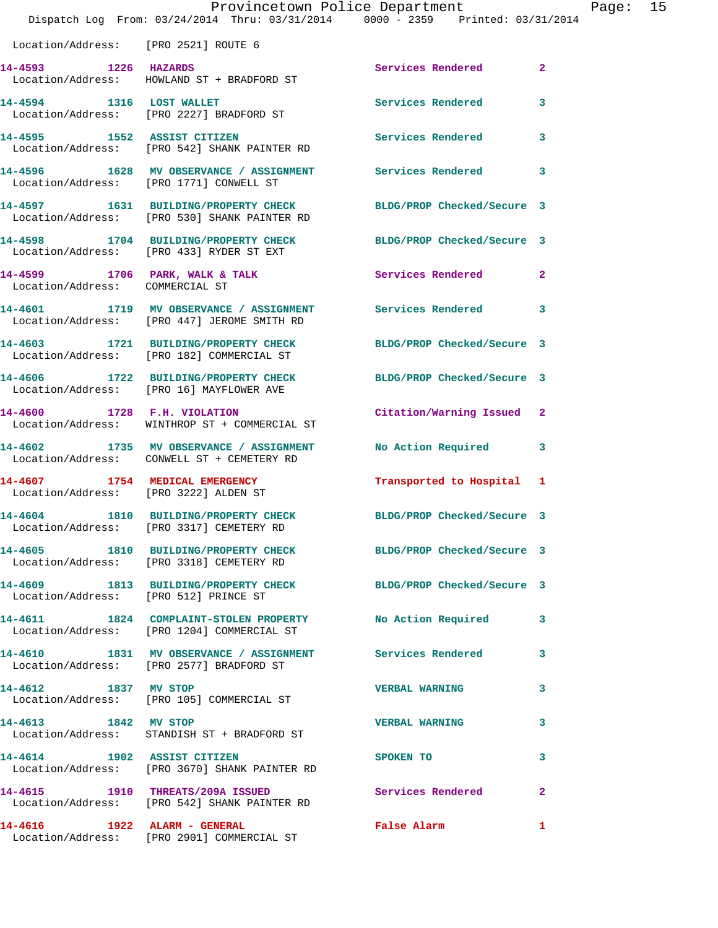|                                                                         | Provincetown Police Department<br>Dispatch Log From: 03/24/2014 Thru: 03/31/2014 0000 - 2359 Printed: 03/31/2014 |                            |              |
|-------------------------------------------------------------------------|------------------------------------------------------------------------------------------------------------------|----------------------------|--------------|
| Location/Address: [PRO 2521] ROUTE 6                                    |                                                                                                                  |                            |              |
| 14-4593 1226 HAZARDS                                                    | Location/Address: HOWLAND ST + BRADFORD ST                                                                       | Services Rendered          | $\mathbf{2}$ |
| 14-4594 1316 LOST WALLET                                                | Location/Address: [PRO 2227] BRADFORD ST                                                                         | <b>Services Rendered</b>   | 3            |
| 14-4595 1552 ASSIST CITIZEN                                             | Location/Address: [PRO 542] SHANK PAINTER RD                                                                     | Services Rendered          | 3            |
|                                                                         | 14-4596 1628 MV OBSERVANCE / ASSIGNMENT Services Rendered<br>Location/Address: [PRO 1771] CONWELL ST             |                            | 3            |
|                                                                         | 14-4597 1631 BUILDING/PROPERTY CHECK<br>Location/Address: [PRO 530] SHANK PAINTER RD                             | BLDG/PROP Checked/Secure 3 |              |
|                                                                         | 14-4598 1704 BUILDING/PROPERTY CHECK<br>Location/Address: [PRO 433] RYDER ST EXT                                 | BLDG/PROP Checked/Secure 3 |              |
| Location/Address: COMMERCIAL ST                                         | $14-4599$ 1706 PARK, WALK & TALK                                                                                 | Services Rendered          | $\mathbf{2}$ |
|                                                                         | 14-4601 1719 MV OBSERVANCE / ASSIGNMENT<br>Location/Address: [PRO 447] JEROME SMITH RD                           | <b>Services Rendered</b>   | 3            |
|                                                                         | 14-4603 1721 BUILDING/PROPERTY CHECK<br>Location/Address: [PRO 182] COMMERCIAL ST                                | BLDG/PROP Checked/Secure 3 |              |
|                                                                         | 14-4606 1722 BUILDING/PROPERTY CHECK<br>Location/Address: [PRO 16] MAYFLOWER AVE                                 | BLDG/PROP Checked/Secure 3 |              |
| 14-4600 1728 F.H. VIOLATION                                             | Location/Address: WINTHROP ST + COMMERCIAL ST                                                                    | Citation/Warning Issued    | 2            |
| 14-4602                                                                 | 1735 MV OBSERVANCE / ASSIGNMENT<br>Location/Address: CONWELL ST + CEMETERY RD                                    | No Action Required         | 3            |
| 14-4607 1754 MEDICAL EMERGENCY<br>Location/Address: [PRO 3222] ALDEN ST |                                                                                                                  | Transported to Hospital    | 1            |
| 14-4604                                                                 | 1810 BUILDING/PROPERTY CHECK<br>Location/Address: [PRO 3317] CEMETERY RD                                         | BLDG/PROP Checked/Secure 3 |              |
|                                                                         | 14-4605 1810 BUILDING/PROPERTY CHECK BLDG/PROP Checked/Secure 3<br>Location/Address: [PRO 3318] CEMETERY RD      |                            |              |
| Location/Address: [PRO 512] PRINCE ST                                   | 14-4609 1813 BUILDING/PROPERTY CHECK                                                                             | BLDG/PROP Checked/Secure 3 |              |
|                                                                         | 14-4611 1824 COMPLAINT-STOLEN PROPERTY<br>Location/Address: [PRO 1204] COMMERCIAL ST                             | No Action Required         | 3            |
|                                                                         | 14-4610 1831 MV OBSERVANCE / ASSIGNMENT Services Rendered<br>Location/Address: [PRO 2577] BRADFORD ST            |                            | 3            |
| 14-4612 1837 MV STOP                                                    | Location/Address: [PRO 105] COMMERCIAL ST                                                                        | <b>VERBAL WARNING</b>      | 3            |
| 14-4613 1842 MV STOP                                                    | Location/Address: STANDISH ST + BRADFORD ST                                                                      | <b>VERBAL WARNING</b>      | 3            |
|                                                                         | 14-4614 1902 ASSIST CITIZEN<br>Location/Address: [PRO 3670] SHANK PAINTER RD                                     | <b>SPOKEN TO</b>           | 3            |
|                                                                         | 14-4615 1910 THREATS/209A ISSUED Services Rendered<br>Location/Address: [PRO 542] SHANK PAINTER RD               |                            | $\mathbf{2}$ |
|                                                                         |                                                                                                                  | <b>False Alarm</b>         | 1            |

Location/Address: [PRO 2901] COMMERCIAL ST

Page: 15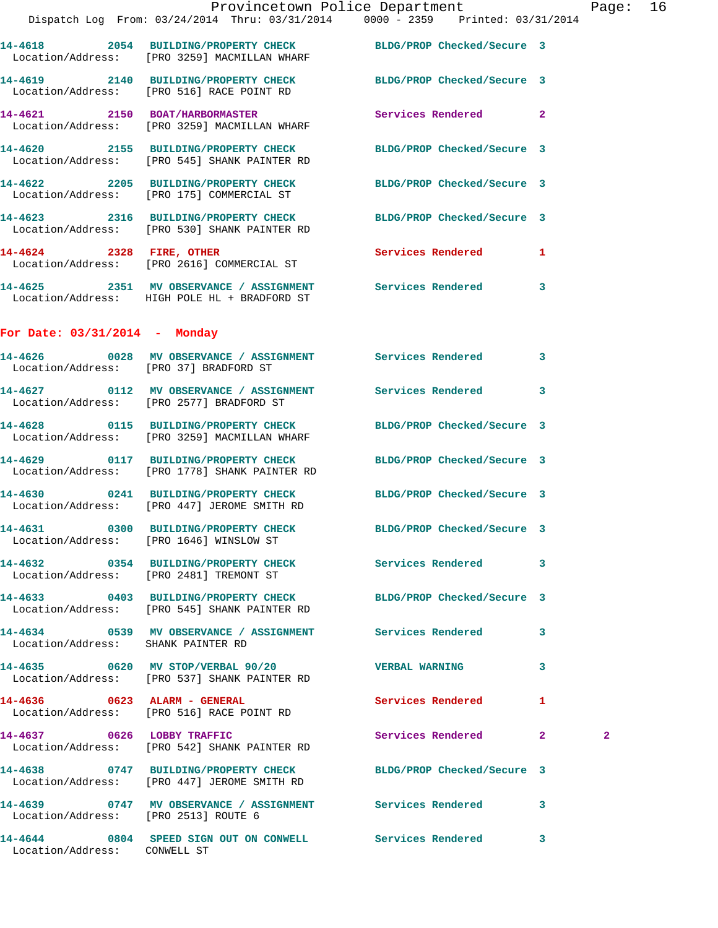**14-4619 2140 BUILDING/PROPERTY CHECK BLDG/PROP Checked/Secure 3**  Location/Address: [PRO 516] RACE POINT RD

**14-4621 2150 BOAT/HARBORMASTER Services Rendered 2**  Location/Address: [PRO 3259] MACMILLAN WHARF

**14-4620 2155 BUILDING/PROPERTY CHECK BLDG/PROP Checked/Secure 3**  Location/Address: [PRO 545] SHANK PAINTER RD

**14-4622 2205 BUILDING/PROPERTY CHECK BLDG/PROP Checked/Secure 3**  Location/Address: [PRO 175] COMMERCIAL ST

**14-4623 2316 BUILDING/PROPERTY CHECK BLDG/PROP Checked/Secure 3**  Location/Address: [PRO 530] SHANK PAINTER RD

**14-4624 2328 FIRE, OTHER Services Rendered 1**  Location/Address: [PRO 2616] COMMERCIAL ST

**14-4625 2351 MV OBSERVANCE / ASSIGNMENT Services Rendered 3**  Location/Address: HIGH POLE HL + BRADFORD ST

## **For Date: 03/31/2014 - Monday**

**14-4626 0028 MV OBSERVANCE / ASSIGNMENT Services Rendered 3**  Location/Address: [PRO 37] BRADFORD ST **14-4627 0112 MV OBSERVANCE / ASSIGNMENT Services Rendered 3**  Location/Address: [PRO 2577] BRADFORD ST **14-4628 0115 BUILDING/PROPERTY CHECK BLDG/PROP Checked/Secure 3**  Location/Address: [PRO 3259] MACMILLAN WHARF **14-4629 0117 BUILDING/PROPERTY CHECK BLDG/PROP Checked/Secure 3**  Location/Address: [PRO 1778] SHANK PAINTER RD **14-4630 0241 BUILDING/PROPERTY CHECK BLDG/PROP Checked/Secure 3**  Location/Address: [PRO 447] JEROME SMITH RD **14-4631 0300 BUILDING/PROPERTY CHECK BLDG/PROP Checked/Secure 3**  Location/Address: [PRO 1646] WINSLOW ST **14-4632 0354 BUILDING/PROPERTY CHECK Services Rendered 3**  Location/Address: [PRO 2481] TREMONT ST **14-4633 0403 BUILDING/PROPERTY CHECK BLDG/PROP Checked/Secure 3**  Location/Address: [PRO 545] SHANK PAINTER RD **14-4634 0539 MV OBSERVANCE / ASSIGNMENT Services Rendered 3**  Location/Address: SHANK PAINTER RD **14-4635 0620 MV STOP/VERBAL 90/20 VERBAL WARNING 3**  Location/Address: [PRO 537] SHANK PAINTER RD **14-4636 0623 ALARM - GENERAL Services Rendered 1**  Location/Address: [PRO 516] RACE POINT RD **14-4637 0626 LOBBY TRAFFIC Services Rendered 2 2**  Location/Address: [PRO 542] SHANK PAINTER RD **14-4638 0747 BUILDING/PROPERTY CHECK BLDG/PROP Checked/Secure 3**  Location/Address: [PRO 447] JEROME SMITH RD **14-4639 0747 MV OBSERVANCE / ASSIGNMENT Services Rendered 3**  Location/Address: [PRO 2513] ROUTE 6 **14-4644 0804 SPEED SIGN OUT ON CONWELL Services Rendered 3**  Location/Address: CONWELL ST